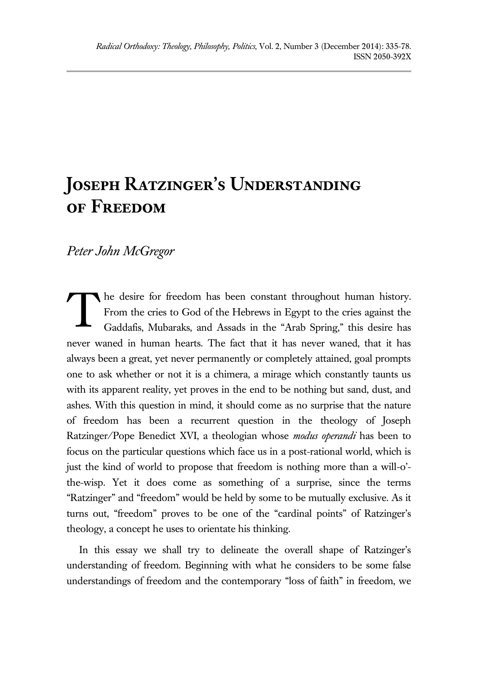# **Joseph Ratzinger's Understanding of Freedom**

# *Peter John McGregor*

he desire for freedom has been constant throughout human history. From the cries to God of the Hebrews in Egypt to the cries against the Gaddafis, Mubaraks, and Assads in the "Arab Spring," this desire has never waned in human hearts. The fact that it has never waned, that it has always been a great, yet never permanently or completely attained, goal prompts one to ask whether or not it is a chimera, a mirage which constantly taunts us with its apparent reality, yet proves in the end to be nothing but sand, dust, and ashes. With this question in mind, it should come as no surprise that the nature of freedom has been a recurrent question in the theology of Joseph Ratzinger/Pope Benedict XVI, a theologian whose *modus operandi* has been to focus on the particular questions which face us in a post-rational world, which is just the kind of world to propose that freedom is nothing more than a will-o' the-wisp. Yet it does come as something of a surprise, since the terms "Ratzinger" and "freedom" would be held by some to be mutually exclusive. As it turns out, "freedom" proves to be one of the "cardinal points" of Ratzinger's theology, a concept he uses to orientate his thinking. T

In this essay we shall try to delineate the overall shape of Ratzinger's understanding of freedom. Beginning with what he considers to be some false understandings of freedom and the contemporary "loss of faith" in freedom, we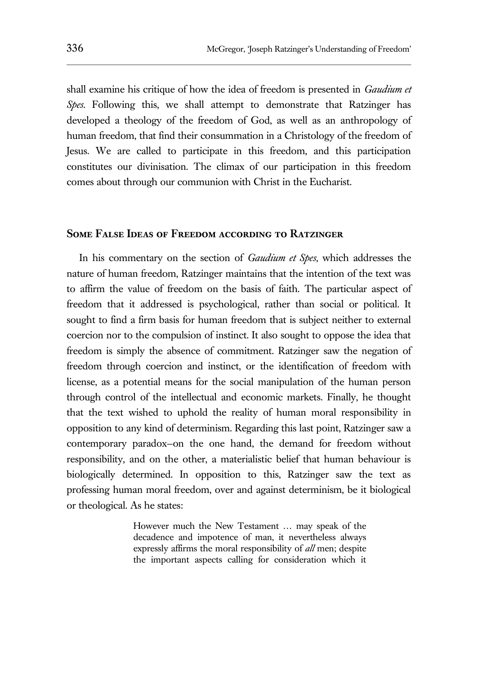shall examine his critique of how the idea of freedom is presented in *Gaudium et Spes*. Following this, we shall attempt to demonstrate that Ratzinger has developed a theology of the freedom of God, as well as an anthropology of human freedom, that find their consummation in a Christology of the freedom of Jesus. We are called to participate in this freedom, and this participation constitutes our divinisation. The climax of our participation in this freedom comes about through our communion with Christ in the Eucharist.

#### **Some False Ideas of Freedom according to Ratzinger**

In his commentary on the section of *Gaudium et Spes*, which addresses the nature of human freedom, Ratzinger maintains that the intention of the text was to affirm the value of freedom on the basis of faith. The particular aspect of freedom that it addressed is psychological, rather than social or political. It sought to find a firm basis for human freedom that is subject neither to external coercion nor to the compulsion of instinct. It also sought to oppose the idea that freedom is simply the absence of commitment. Ratzinger saw the negation of freedom through coercion and instinct, or the identification of freedom with license, as a potential means for the social manipulation of the human person through control of the intellectual and economic markets. Finally, he thought that the text wished to uphold the reality of human moral responsibility in opposition to any kind of determinism. Regarding this last point, Ratzinger saw a contemporary paradox—on the one hand, the demand for freedom without responsibility, and on the other, a materialistic belief that human behaviour is biologically determined. In opposition to this, Ratzinger saw the text as professing human moral freedom, over and against determinism, be it biological or theological. As he states:

> However much the New Testament … may speak of the decadence and impotence of man, it nevertheless always expressly affirms the moral responsibility of *all* men; despite the important aspects calling for consideration which it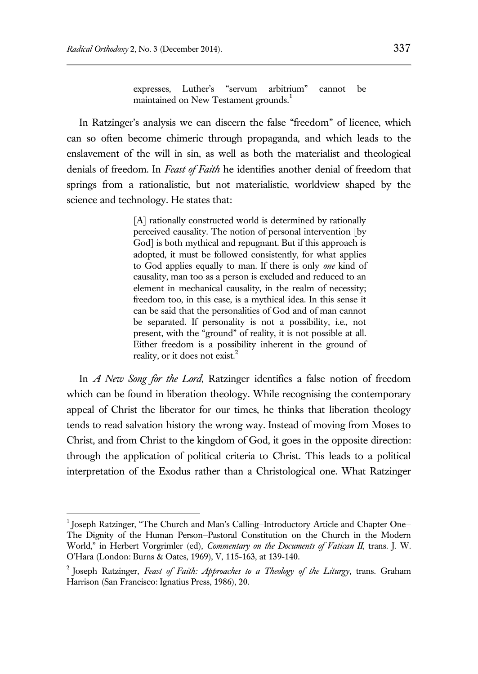$\overline{a}$ 

expresses, Luther's "servum arbitrium" cannot be maintained on New Testament grounds.<sup>1</sup>

In Ratzinger's analysis we can discern the false "freedom" of licence, which can so often become chimeric through propaganda, and which leads to the enslavement of the will in sin, as well as both the materialist and theological denials of freedom. In *Feast of Faith* he identifies another denial of freedom that springs from a rationalistic, but not materialistic, worldview shaped by the science and technology. He states that:

> [A] rationally constructed world is determined by rationally perceived causality. The notion of personal intervention [by God] is both mythical and repugnant. But if this approach is adopted, it must be followed consistently, for what applies to God applies equally to man. If there is only *one* kind of causality, man too as a person is excluded and reduced to an element in mechanical causality, in the realm of necessity; freedom too, in this case, is a mythical idea. In this sense it can be said that the personalities of God and of man cannot be separated. If personality is not a possibility, i.e., not present, with the "ground" of reality, it is not possible at all. Either freedom is a possibility inherent in the ground of reality, or it does not exist. $2$

In *A New Song for the Lord*, Ratzinger identifies a false notion of freedom which can be found in liberation theology. While recognising the contemporary appeal of Christ the liberator for our times, he thinks that liberation theology tends to read salvation history the wrong way. Instead of moving from Moses to Christ, and from Christ to the kingdom of God, it goes in the opposite direction: through the application of political criteria to Christ. This leads to a political interpretation of the Exodus rather than a Christological one. What Ratzinger

<sup>&</sup>lt;sup>1</sup> Joseph Ratzinger, "The Church and Man's Calling-Introductory Article and Chapter One-The Dignity of the Human Person—Pastoral Constitution on the Church in the Modern World," in Herbert Vorgrimler (ed), *Commentary on the Documents of Vatican II*, trans. J. W. O'Hara (London: Burns & Oates, 1969), V, 115-163, at 139-140.

<sup>2</sup> Joseph Ratzinger, *Feast of Faith: Approaches to a Theology of the Liturgy*, trans. Graham Harrison (San Francisco: Ignatius Press, 1986), 20.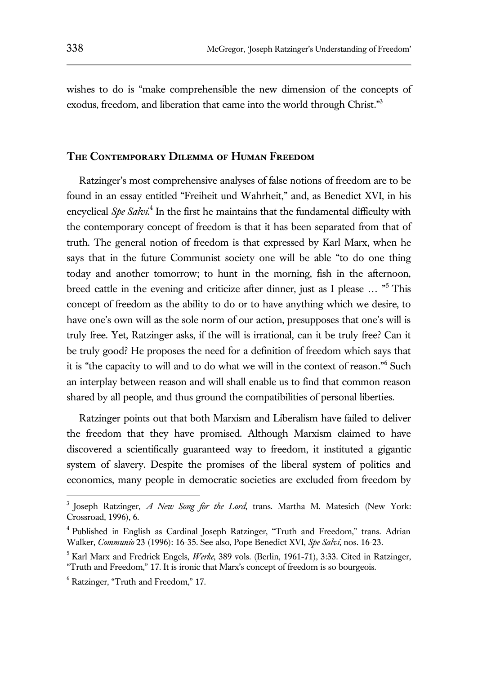wishes to do is "make comprehensible the new dimension of the concepts of exodus, freedom, and liberation that came into the world through Christ."3

## **The Contemporary Dilemma of Human Freedom**

Ratzinger's most comprehensive analyses of false notions of freedom are to be found in an essay entitled "Freiheit und Wahrheit," and, as Benedict XVI, in his encyclical Spe Salvi<sup>4</sup> In the first he maintains that the fundamental difficulty with the contemporary concept of freedom is that it has been separated from that of truth. The general notion of freedom is that expressed by Karl Marx, when he says that in the future Communist society one will be able "to do one thing today and another tomorrow; to hunt in the morning, fish in the afternoon, breed cattle in the evening and criticize after dinner, just as I please … "<sup>5</sup> This concept of freedom as the ability to do or to have anything which we desire, to have one's own will as the sole norm of our action, presupposes that one's will is truly free. Yet, Ratzinger asks, if the will is irrational, can it be truly free? Can it be truly good? He proposes the need for a definition of freedom which says that it is "the capacity to will and to do what we will in the context of reason." 6 Such an interplay between reason and will shall enable us to find that common reason shared by all people, and thus ground the compatibilities of personal liberties.

Ratzinger points out that both Marxism and Liberalism have failed to deliver the freedom that they have promised. Although Marxism claimed to have discovered a scientifically guaranteed way to freedom, it instituted a gigantic system of slavery. Despite the promises of the liberal system of politics and economics, many people in democratic societies are excluded from freedom by

<sup>3</sup> Joseph Ratzinger, *A New Song for the Lord*, trans. Martha M. Matesich (New York: Crossroad, 1996), 6.

<sup>&</sup>lt;sup>4</sup> Published in English as Cardinal Joseph Ratzinger, "Truth and Freedom," trans. Adrian Walker, *Communio* 23 (1996): 16-35. See also, Pope Benedict XVI, *Spe Salvi*, nos. 16-23.

<sup>5</sup> Karl Marx and Fredrick Engels, *Werke*, 389 vols. (Berlin, 1961-71), 3:33. Cited in Ratzinger, "Truth and Freedom," 17. It is ironic that Marx's concept of freedom is so bourgeois.

<sup>6</sup> Ratzinger, "Truth and Freedom," 17.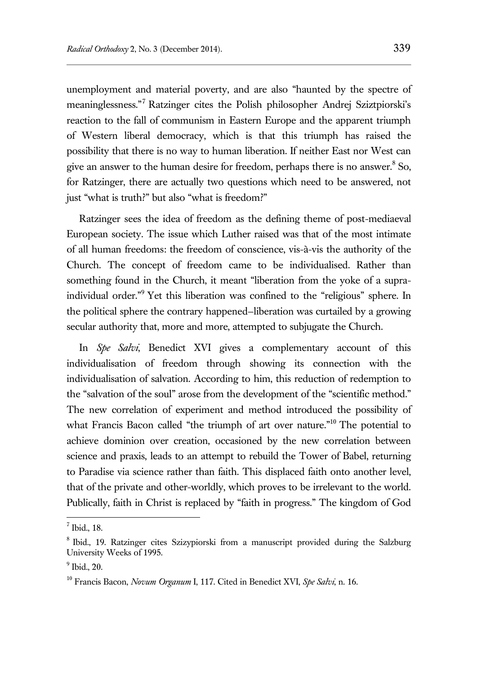unemployment and material poverty, and are also "haunted by the spectre of meaninglessness." <sup>7</sup> Ratzinger cites the Polish philosopher Andrej Sziztpiorski's reaction to the fall of communism in Eastern Europe and the apparent triumph of Western liberal democracy, which is that this triumph has raised the possibility that there is no way to human liberation. If neither East nor West can give an answer to the human desire for freedom, perhaps there is no answer.<sup>8</sup> So, for Ratzinger, there are actually two questions which need to be answered, not just "what is truth?" but also "what is freedom?"

Ratzinger sees the idea of freedom as the defining theme of post-mediaeval European society. The issue which Luther raised was that of the most intimate of all human freedoms: the freedom of conscience, vis-à-vis the authority of the Church. The concept of freedom came to be individualised. Rather than something found in the Church, it meant "liberation from the yoke of a supraindividual order." <sup>9</sup> Yet this liberation was confined to the "religious" sphere. In the political sphere the contrary happened—liberation was curtailed by a growing secular authority that, more and more, attempted to subjugate the Church.

In *Spe Salvi*, Benedict XVI gives a complementary account of this individualisation of freedom through showing its connection with the individualisation of salvation. According to him, this reduction of redemption to the "salvation of the soul" arose from the development of the "scientific method." The new correlation of experiment and method introduced the possibility of what Francis Bacon called "the triumph of art over nature."<sup>10</sup> The potential to achieve dominion over creation, occasioned by the new correlation between science and praxis, leads to an attempt to rebuild the Tower of Babel, returning to Paradise via science rather than faith. This displaced faith onto another level, that of the private and other-worldly, which proves to be irrelevant to the world. Publically, faith in Christ is replaced by "faith in progress." The kingdom of God

<sup>&</sup>lt;sup>7</sup> Ibid., 18.

<sup>&</sup>lt;sup>8</sup> Ibid., 19. Ratzinger cites Szizypiorski from a manuscript provided during the Salzburg University Weeks of 1995.

<sup>9</sup> Ibid., 20.

<sup>10</sup> Francis Bacon, *Novum Organum* I, 117. Cited in Benedict XVI, *Spe Salvi*, n. 16.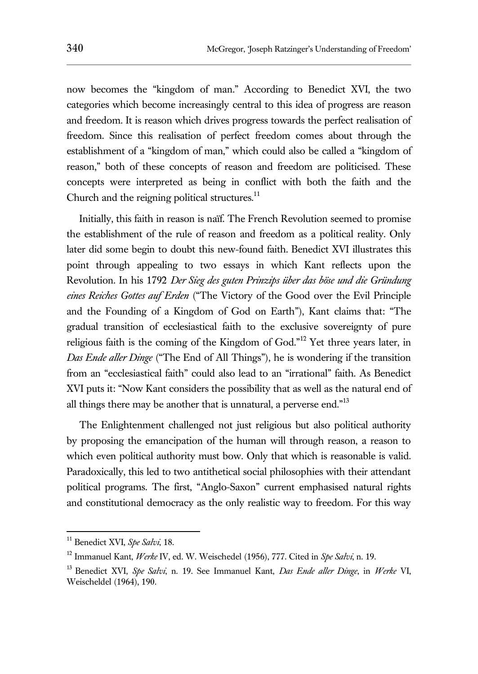now becomes the "kingdom of man." According to Benedict XVI, the two categories which become increasingly central to this idea of progress are reason and freedom. It is reason which drives progress towards the perfect realisation of freedom. Since this realisation of perfect freedom comes about through the establishment of a "kingdom of man," which could also be called a "kingdom of reason," both of these concepts of reason and freedom are politicised. These concepts were interpreted as being in conflict with both the faith and the Church and the reigning political structures.<sup>11</sup>

Initially, this faith in reason is naïf. The French Revolution seemed to promise the establishment of the rule of reason and freedom as a political reality. Only later did some begin to doubt this new-found faith. Benedict XVI illustrates this point through appealing to two essays in which Kant reflects upon the Revolution. In his 1792 *Der Sieg des guten Prinzips über das böse und die Gründung eines Reiches Gottes auf Erden* ("The Victory of the Good over the Evil Principle and the Founding of a Kingdom of God on Earth"), Kant claims that: "The gradual transition of ecclesiastical faith to the exclusive sovereignty of pure religious faith is the coming of the Kingdom of God."<sup>12</sup> Yet three years later, in *Das Ende aller Dinge* ("The End of All Things"), he is wondering if the transition from an "ecclesiastical faith" could also lead to an "irrational" faith. As Benedict XVI puts it: "Now Kant considers the possibility that as well as the natural end of all things there may be another that is unnatural, a perverse end."<sup>13</sup>

The Enlightenment challenged not just religious but also political authority by proposing the emancipation of the human will through reason, a reason to which even political authority must bow. Only that which is reasonable is valid. Paradoxically, this led to two antithetical social philosophies with their attendant political programs. The first, "Anglo-Saxon" current emphasised natural rights and constitutional democracy as the only realistic way to freedom. For this way

<sup>11</sup> Benedict XVI, *Spe Salvi*, 18.

<sup>12</sup> Immanuel Kant, *Werke* IV, ed. W. Weischedel (1956), 777. Cited in *Spe Salvi*, n. 19.

<sup>13</sup> Benedict XVI, *Spe Salvi*, n. 19. See Immanuel Kant, *Das Ende aller Dinge*, in *Werke* VI, Weischeldel (1964), 190.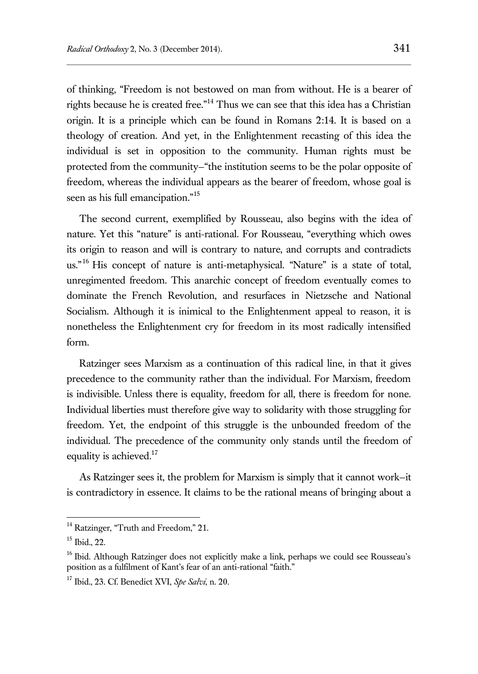of thinking, "Freedom is not bestowed on man from without. He is a bearer of rights because he is created free."<sup>14</sup> Thus we can see that this idea has a Christian origin. It is a principle which can be found in Romans 2:14. It is based on a theology of creation. And yet, in the Enlightenment recasting of this idea the individual is set in opposition to the community. Human rights must be protected from the community—"the institution seems to be the polar opposite of freedom, whereas the individual appears as the bearer of freedom, whose goal is seen as his full emancipation."<sup>15</sup>

The second current, exemplified by Rousseau, also begins with the idea of nature. Yet this "nature" is anti-rational. For Rousseau, "everything which owes its origin to reason and will is contrary to nature, and corrupts and contradicts us."<sup>16</sup> His concept of nature is anti-metaphysical. "Nature" is a state of total, unregimented freedom. This anarchic concept of freedom eventually comes to dominate the French Revolution, and resurfaces in Nietzsche and National Socialism. Although it is inimical to the Enlightenment appeal to reason, it is nonetheless the Enlightenment cry for freedom in its most radically intensified form.

Ratzinger sees Marxism as a continuation of this radical line, in that it gives precedence to the community rather than the individual. For Marxism, freedom is indivisible. Unless there is equality, freedom for all, there is freedom for none. Individual liberties must therefore give way to solidarity with those struggling for freedom. Yet, the endpoint of this struggle is the unbounded freedom of the individual. The precedence of the community only stands until the freedom of equality is achieved.<sup>17</sup>

As Ratzinger sees it, the problem for Marxism is simply that it cannot work—it is contradictory in essence. It claims to be the rational means of bringing about a

<sup>&</sup>lt;sup>14</sup> Ratzinger, "Truth and Freedom," 21.

<sup>15</sup> Ibid., 22.

<sup>&</sup>lt;sup>16</sup> Ibid. Although Ratzinger does not explicitly make a link, perhaps we could see Rousseau's position as a fulfilment of Kant's fear of an anti-rational "faith."

<sup>17</sup> Ibid., 23. Cf. Benedict XVI, *Spe Salvi*, n. 20.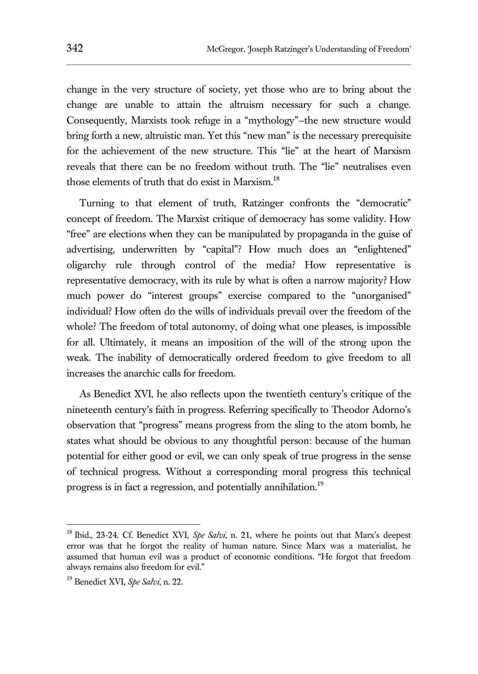change in the very structure of society, yet those who are to bring about the change are unable to attain the altruism necessary for such a change. Consequently, Marxists took refuge in a "mythology"—the new structure would bring forth a new, altruistic man. Yet this "new man" is the necessary prerequisite for the achievement of the new structure. This "lie" at the heart of Marxism reveals that there can be no freedom without truth. The "lie" neutralises even those elements of truth that do exist in Marxism.<sup>18</sup>

Turning to that element of truth, Ratzinger confronts the "democratic" concept of freedom. The Marxist critique of democracy has some validity. How "free" are elections when they can be manipulated by propaganda in the guise of advertising, underwritten by "capital"? How much does an "enlightened" oligarchy rule through control of the media? How representative is representative democracy, with its rule by what is often a narrow majority? How much power do "interest groups" exercise compared to the "unorganised" individual? How often do the wills of individuals prevail over the freedom of the whole? The freedom of total autonomy, of doing what one pleases, is impossible for all. Ultimately, it means an imposition of the will of the strong upon the weak. The inability of democratically ordered freedom to give freedom to all increases the anarchic calls for freedom.

As Benedict XVI, he also reflects upon the twentieth century's critique of the nineteenth century's faith in progress. Referring specifically to Theodor Adorno's observation that "progress" means progress from the sling to the atom bomb, he states what should be obvious to any thoughtful person: because of the human potential for either good or evil, we can only speak of true progress in the sense of technical progress. Without a corresponding moral progress this technical progress is in fact a regression, and potentially annihilation.<sup>19</sup>

<sup>&</sup>lt;sup>18</sup> Ibid., 23-24. Cf. Benedict XVI, Spe Salvi, n. 21, where he points out that Marx's deepest error was that he forgot the reality of human nature. Since Marx was a materialist, he assumed that human evil was a product of economic conditions. "He forgot that freedom always remains also freedom for evil."

<sup>19</sup> Benedict XVI, *Spe Salvi*, n. 22.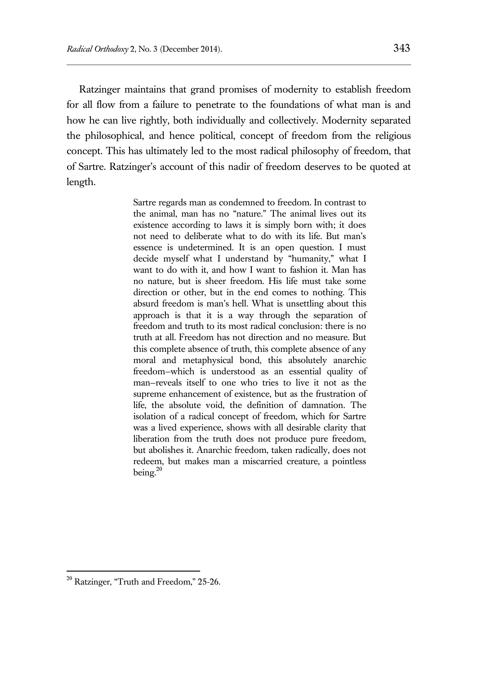Ratzinger maintains that grand promises of modernity to establish freedom for all flow from a failure to penetrate to the foundations of what man is and how he can live rightly, both individually and collectively. Modernity separated the philosophical, and hence political, concept of freedom from the religious concept. This has ultimately led to the most radical philosophy of freedom, that of Sartre. Ratzinger's account of this nadir of freedom deserves to be quoted at length.

> Sartre regards man as condemned to freedom. In contrast to the animal, man has no "nature." The animal lives out its existence according to laws it is simply born with; it does not need to deliberate what to do with its life. But man's essence is undetermined. It is an open question. I must decide myself what I understand by "humanity," what I want to do with it, and how I want to fashion it. Man has no nature, but is sheer freedom. His life must take some direction or other, but in the end comes to nothing. This absurd freedom is man's hell. What is unsettling about this approach is that it is a way through the separation of freedom and truth to its most radical conclusion: there is no truth at all. Freedom has not direction and no measure. But this complete absence of truth, this complete absence of any moral and metaphysical bond, this absolutely anarchic freedom—which is understood as an essential quality of man—reveals itself to one who tries to live it not as the supreme enhancement of existence, but as the frustration of life, the absolute void, the definition of damnation. The isolation of a radical concept of freedom, which for Sartre was a lived experience, shows with all desirable clarity that liberation from the truth does not produce pure freedom, but abolishes it. Anarchic freedom, taken radically, does not redeem, but makes man a miscarried creature, a pointless being.<sup>20</sup>

<sup>&</sup>lt;sup>20</sup> Ratzinger, "Truth and Freedom," 25-26.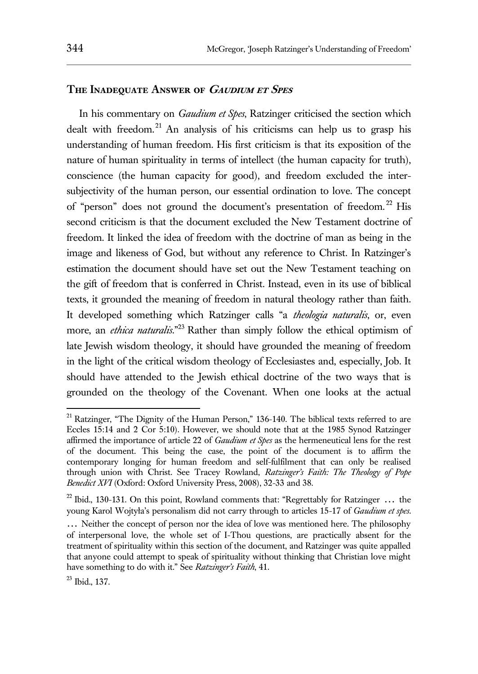## **The Inadequate Answer of Gaudium et Spes**

In his commentary on *Gaudium et Spes*, Ratzinger criticised the section which dealt with freedom.<sup>21</sup> An analysis of his criticisms can help us to grasp his understanding of human freedom. His first criticism is that its exposition of the nature of human spirituality in terms of intellect (the human capacity for truth), conscience (the human capacity for good), and freedom excluded the intersubjectivity of the human person, our essential ordination to love. The concept of "person" does not ground the document's presentation of freedom. <sup>22</sup> His second criticism is that the document excluded the New Testament doctrine of freedom. It linked the idea of freedom with the doctrine of man as being in the image and likeness of God, but without any reference to Christ. In Ratzinger's estimation the document should have set out the New Testament teaching on the gift of freedom that is conferred in Christ. Instead, even in its use of biblical texts, it grounded the meaning of freedom in natural theology rather than faith. It developed something which Ratzinger calls "a *theologia naturalis*, or, even more, an *ethica naturalis*." <sup>23</sup> Rather than simply follow the ethical optimism of late Jewish wisdom theology, it should have grounded the meaning of freedom in the light of the critical wisdom theology of Ecclesiastes and, especially, Job. It should have attended to the Jewish ethical doctrine of the two ways that is grounded on the theology of the Covenant. When one looks at the actual

<sup>&</sup>lt;sup>21</sup> Ratzinger, "The Dignity of the Human Person," 136-140. The biblical texts referred to are Eccles 15:14 and 2 Cor 5:10). However, we should note that at the 1985 Synod Ratzinger affirmed the importance of article 22 of *Gaudium et Spes* as the hermeneutical lens for the rest of the document. This being the case, the point of the document is to affirm the contemporary longing for human freedom and self-fulfilment that can only be realised through union with Christ. See Tracey Rowland, *Ratzinger's Faith: The Theology of Pope Benedict XVI* (Oxford: Oxford University Press, 2008), 32-33 and 38.

<sup>&</sup>lt;sup>22</sup> Ibid., 130-131. On this point, Rowland comments that: "Regrettably for Ratzinger  $\ldots$  the young Karol Wojtyła's personalism did not carry through to articles 15-17 of *Gaudium et spes*. … Neither the concept of person nor the idea of love was mentioned here. The philosophy of interpersonal love, the whole set of I-Thou questions, are practically absent for the treatment of spirituality within this section of the document, and Ratzinger was quite appalled that anyone could attempt to speak of spirituality without thinking that Christian love might have something to do with it." See *Ratzinger's Faith*, 41.

<sup>23</sup> Ibid., 137.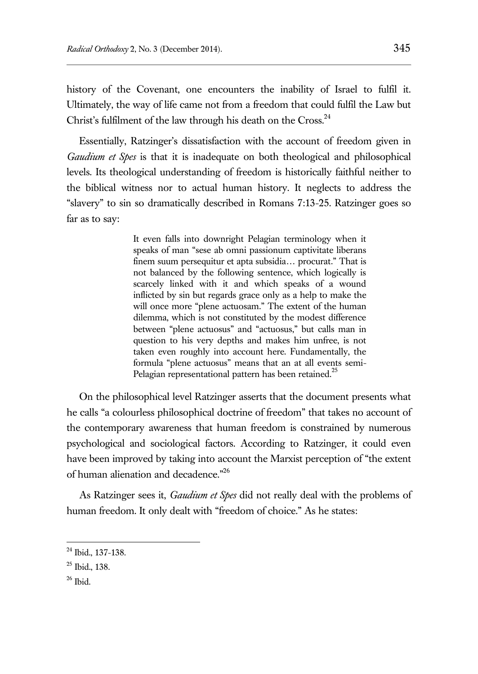history of the Covenant, one encounters the inability of Israel to fulfil it. Ultimately, the way of life came not from a freedom that could fulfil the Law but Christ's fulfilment of the law through his death on the Cross.<sup>24</sup>

Essentially, Ratzinger's dissatisfaction with the account of freedom given in *Gaudium et Spes* is that it is inadequate on both theological and philosophical levels. Its theological understanding of freedom is historically faithful neither to the biblical witness nor to actual human history. It neglects to address the "slavery" to sin so dramatically described in Romans 7:13-25. Ratzinger goes so far as to say:

> It even falls into downright Pelagian terminology when it speaks of man "sese ab omni passionum captivitate liberans finem suum persequitur et apta subsidia… procurat." That is not balanced by the following sentence, which logically is scarcely linked with it and which speaks of a wound inflicted by sin but regards grace only as a help to make the will once more "plene actuosam." The extent of the human dilemma, which is not constituted by the modest difference between "plene actuosus" and "actuosus," but calls man in question to his very depths and makes him unfree, is not taken even roughly into account here. Fundamentally, the formula "plene actuosus" means that an at all events semi-Pelagian representational pattern has been retained.<sup>25</sup>

On the philosophical level Ratzinger asserts that the document presents what he calls "a colourless philosophical doctrine of freedom" that takes no account of the contemporary awareness that human freedom is constrained by numerous psychological and sociological factors. According to Ratzinger, it could even have been improved by taking into account the Marxist perception of "the extent of human alienation and decadence."26

As Ratzinger sees it, *Gaudium et Spes* did not really deal with the problems of human freedom. It only dealt with "freedom of choice." As he states:

 $26$  Ibid.

<sup>&</sup>lt;sup>24</sup> Ibid., 137-138.

 $25$  Ibid., 138.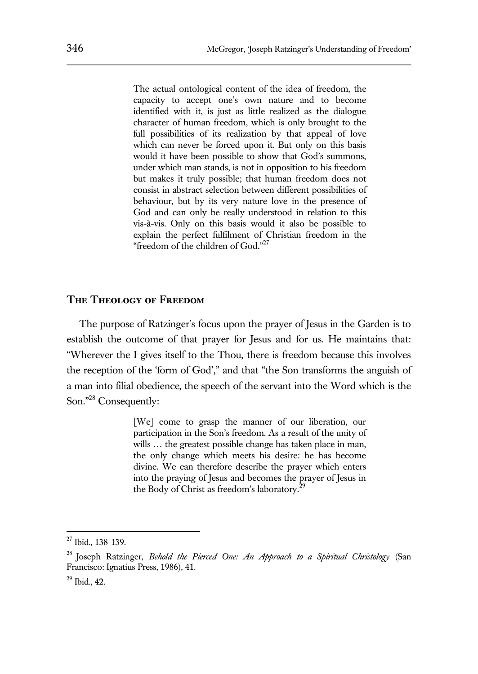The actual ontological content of the idea of freedom, the capacity to accept one's own nature and to become identified with it, is just as little realized as the dialogue character of human freedom, which is only brought to the full possibilities of its realization by that appeal of love which can never be forced upon it. But only on this basis would it have been possible to show that God's summons, under which man stands, is not in opposition to his freedom but makes it truly possible; that human freedom does not consist in abstract selection between different possibilities of behaviour, but by its very nature love in the presence of God and can only be really understood in relation to this vis-à-vis. Only on this basis would it also be possible to explain the perfect fulfilment of Christian freedom in the "freedom of the children of God."<sup>27</sup>

#### **The Theology of Freedom**

The purpose of Ratzinger's focus upon the prayer of Jesus in the Garden is to establish the outcome of that prayer for Jesus and for us. He maintains that: "Wherever the I gives itself to the Thou, there is freedom because this involves the reception of the 'form of God'," and that "the Son transforms the anguish of a man into filial obedience, the speech of the servant into the Word which is the Son." <sup>28</sup> Consequently:

> [We] come to grasp the manner of our liberation, our participation in the Son's freedom. As a result of the unity of wills ... the greatest possible change has taken place in man, the only change which meets his desire: he has become divine. We can therefore describe the prayer which enters into the praying of Jesus and becomes the prayer of Jesus in the Body of Christ as freedom's laboratory.<sup>2</sup>

<sup>&</sup>lt;sup>27</sup> Ibid., 138-139.

<sup>28</sup> Joseph Ratzinger, *Behold the Pierced One: An Approach to a Spiritual Christology* (San Francisco: Ignatius Press, 1986), 41.

<sup>29</sup> Ibid., 42.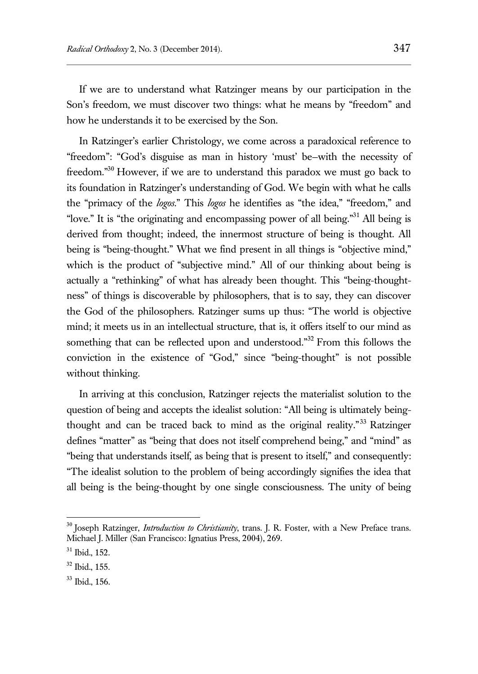If we are to understand what Ratzinger means by our participation in the Son's freedom, we must discover two things: what he means by "freedom" and how he understands it to be exercised by the Son.

In Ratzinger's earlier Christology, we come across a paradoxical reference to "freedom": "God's disguise as man in history 'must' be—with the necessity of freedom."<sup>30</sup> However, if we are to understand this paradox we must go back to its foundation in Ratzinger's understanding of God. We begin with what he calls the "primacy of the *logos*." This *logos* he identifies as "the idea," "freedom," and "love." It is "the originating and encompassing power of all being."<sup>31</sup> All being is derived from thought; indeed, the innermost structure of being is thought. All being is "being-thought." What we find present in all things is "objective mind," which is the product of "subjective mind." All of our thinking about being is actually a "rethinking" of what has already been thought. This "being-thoughtness" of things is discoverable by philosophers, that is to say, they can discover the God of the philosophers. Ratzinger sums up thus: "The world is objective mind; it meets us in an intellectual structure, that is, it offers itself to our mind as something that can be reflected upon and understood."<sup>32</sup> From this follows the conviction in the existence of "God," since "being-thought" is not possible without thinking.

In arriving at this conclusion, Ratzinger rejects the materialist solution to the question of being and accepts the idealist solution: "All being is ultimately beingthought and can be traced back to mind as the original reality."<sup>33</sup> Ratzinger defines "matter" as "being that does not itself comprehend being," and "mind" as "being that understands itself, as being that is present to itself," and consequently: "The idealist solution to the problem of being accordingly signifies the idea that all being is the being-thought by one single consciousness. The unity of being

<sup>30</sup> Joseph Ratzinger, *Introduction to Christianity*, trans. J. R. Foster, with a New Preface trans. Michael J. Miller (San Francisco: Ignatius Press, 2004), 269.

 $31$  Ibid., 152.

 $32$  Ibid., 155.

<sup>33</sup> Ibid., 156.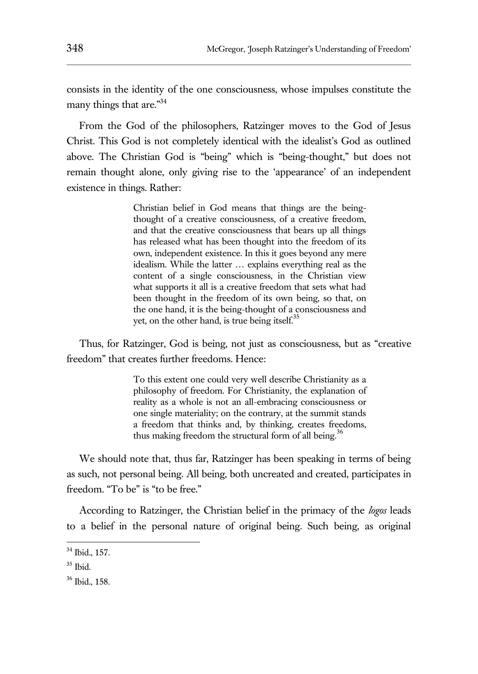consists in the identity of the one consciousness, whose impulses constitute the many things that are."<sup>34</sup>

From the God of the philosophers, Ratzinger moves to the God of Jesus Christ. This God is not completely identical with the idealist's God as outlined above. The Christian God is "being" which is "being-thought," but does not remain thought alone, only giving rise to the 'appearance' of an independent existence in things. Rather:

> Christian belief in God means that things are the beingthought of a creative consciousness, of a creative freedom, and that the creative consciousness that bears up all things has released what has been thought into the freedom of its own, independent existence. In this it goes beyond any mere idealism. While the latter … explains everything real as the content of a single consciousness, in the Christian view what supports it all is a creative freedom that sets what had been thought in the freedom of its own being, so that, on the one hand, it is the being-thought of a consciousness and yet, on the other hand, is true being itself. $35$

Thus, for Ratzinger, God is being, not just as consciousness, but as "creative freedom" that creates further freedoms. Hence:

> To this extent one could very well describe Christianity as a philosophy of freedom. For Christianity, the explanation of reality as a whole is not an all-embracing consciousness or one single materiality; on the contrary, at the summit stands a freedom that thinks and, by thinking, creates freedoms, thus making freedom the structural form of all being.<sup>36</sup>

We should note that, thus far, Ratzinger has been speaking in terms of being as such, not personal being. All being, both uncreated and created, participates in freedom. "To be" is "to be free."

According to Ratzinger, the Christian belief in the primacy of the *logos* leads to a belief in the personal nature of original being. Such being, as original

<sup>34</sup> Ibid., 157.

 $35$  Ibid.

<sup>36</sup> Ibid., 158.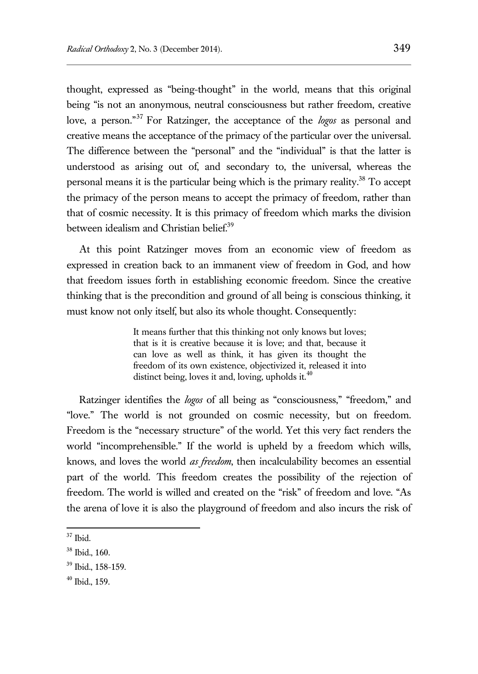thought, expressed as "being-thought" in the world, means that this original being "is not an anonymous, neutral consciousness but rather freedom, creative love, a person." <sup>37</sup> For Ratzinger, the acceptance of the *logos* as personal and creative means the acceptance of the primacy of the particular over the universal. The difference between the "personal" and the "individual" is that the latter is understood as arising out of, and secondary to, the universal, whereas the personal means it is the particular being which is the primary reality.<sup>38</sup> To accept the primacy of the person means to accept the primacy of freedom, rather than that of cosmic necessity. It is this primacy of freedom which marks the division between idealism and Christian belief.<sup>39</sup>

At this point Ratzinger moves from an economic view of freedom as expressed in creation back to an immanent view of freedom in God, and how that freedom issues forth in establishing economic freedom. Since the creative thinking that is the precondition and ground of all being is conscious thinking, it must know not only itself, but also its whole thought. Consequently:

> It means further that this thinking not only knows but loves; that is it is creative because it is love; and that, because it can love as well as think, it has given its thought the freedom of its own existence, objectivized it, released it into distinct being, loves it and, loving, upholds it. $40$

Ratzinger identifies the *logos* of all being as "consciousness," "freedom," and "love." The world is not grounded on cosmic necessity, but on freedom. Freedom is the "necessary structure" of the world. Yet this very fact renders the world "incomprehensible." If the world is upheld by a freedom which wills, knows, and loves the world *as freedom*, then incalculability becomes an essential part of the world. This freedom creates the possibility of the rejection of freedom. The world is willed and created on the "risk" of freedom and love. "As the arena of love it is also the playground of freedom and also incurs the risk of

 $37$  Ibid.

<sup>38</sup> Ibid., 160.

<sup>39</sup> Ibid., 158-159.

 $40$  Ibid., 159.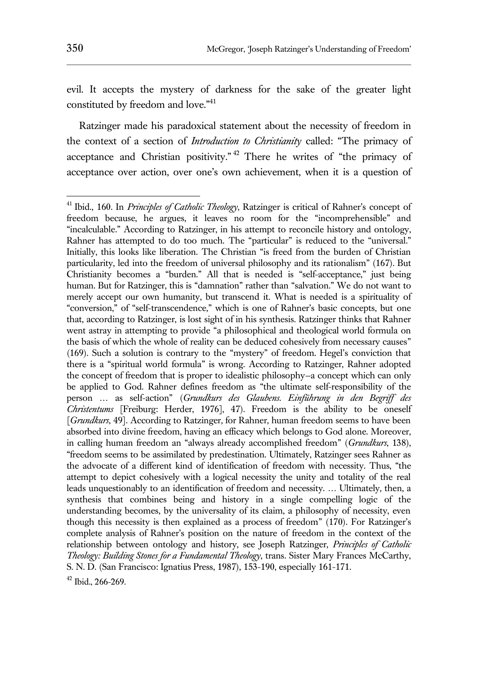evil. It accepts the mystery of darkness for the sake of the greater light constituted by freedom and love."<sup>41</sup>

Ratzinger made his paradoxical statement about the necessity of freedom in the context of a section of *Introduction to Christianity* called: "The primacy of acceptance and Christian positivity."<sup>42</sup> There he writes of "the primacy of acceptance over action, over one's own achievement, when it is a question of

<sup>41</sup> Ibid., 160. In *Principles of Catholic Theology*, Ratzinger is critical of Rahner's concept of freedom because, he argues, it leaves no room for the "incomprehensible" and "incalculable." According to Ratzinger, in his attempt to reconcile history and ontology, Rahner has attempted to do too much. The "particular" is reduced to the "universal." Initially, this looks like liberation. The Christian "is freed from the burden of Christian particularity, led into the freedom of universal philosophy and its rationalism" (167). But Christianity becomes a "burden." All that is needed is "self-acceptance," just being human. But for Ratzinger, this is "damnation" rather than "salvation." We do not want to merely accept our own humanity, but transcend it. What is needed is a spirituality of "conversion," of "self-transcendence," which is one of Rahner's basic concepts, but one that, according to Ratzinger, is lost sight of in his synthesis. Ratzinger thinks that Rahner went astray in attempting to provide "a philosophical and theological world formula on the basis of which the whole of reality can be deduced cohesively from necessary causes" (169). Such a solution is contrary to the "mystery" of freedom. Hegel's conviction that there is a "spiritual world formula" is wrong. According to Ratzinger, Rahner adopted the concept of freedom that is proper to idealistic philosophy—a concept which can only be applied to God. Rahner defines freedom as "the ultimate self-responsibility of the person … as self-action" (*Grundkurs des Glaubens. Einführung in den Begriff des Christentums* [Freiburg: Herder, 1976], 47). Freedom is the ability to be oneself [*Grundkurs*, 49]. According to Ratzinger, for Rahner, human freedom seems to have been absorbed into divine freedom, having an efficacy which belongs to God alone. Moreover, in calling human freedom an "always already accomplished freedom" (*Grundkurs*, 138), "freedom seems to be assimilated by predestination. Ultimately, Ratzinger sees Rahner as the advocate of a different kind of identification of freedom with necessity. Thus, "the attempt to depict cohesively with a logical necessity the unity and totality of the real leads unquestionably to an identification of freedom and necessity. … Ultimately, then, a synthesis that combines being and history in a single compelling logic of the understanding becomes, by the universality of its claim, a philosophy of necessity, even though this necessity is then explained as a process of freedom" (170). For Ratzinger's complete analysis of Rahner's position on the nature of freedom in the context of the relationship between ontology and history, see Joseph Ratzinger, *Principles of Catholic Theology: Building Stones for a Fundamental Theology*, trans. Sister Mary Frances McCarthy, S. N. D. (San Francisco: Ignatius Press, 1987), 153-190, especially 161-171.

 $42$  Ibid., 266-269.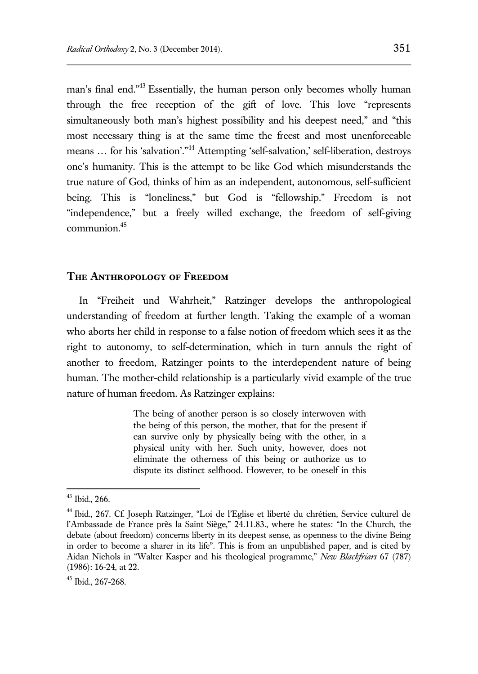man's final end."<sup>43</sup> Essentially, the human person only becomes wholly human through the free reception of the gift of love. This love "represents simultaneously both man's highest possibility and his deepest need," and "this most necessary thing is at the same time the freest and most unenforceable means ... for his 'salvation'."<sup>44</sup> Attempting 'self-salvation,' self-liberation, destroys one's humanity. This is the attempt to be like God which misunderstands the true nature of God, thinks of him as an independent, autonomous, self-sufficient being. This is "loneliness," but God is "fellowship." Freedom is not "independence," but a freely willed exchange, the freedom of self-giving communion.<sup>45</sup>

## **The Anthropology of Freedom**

In "Freiheit und Wahrheit," Ratzinger develops the anthropological understanding of freedom at further length. Taking the example of a woman who aborts her child in response to a false notion of freedom which sees it as the right to autonomy, to self-determination, which in turn annuls the right of another to freedom, Ratzinger points to the interdependent nature of being human. The mother-child relationship is a particularly vivid example of the true nature of human freedom. As Ratzinger explains:

> The being of another person is so closely interwoven with the being of this person, the mother, that for the present if can survive only by physically being with the other, in a physical unity with her. Such unity, however, does not eliminate the otherness of this being or authorize us to dispute its distinct selfhood. However, to be oneself in this

 $43$  Ibid., 266.

<sup>44</sup> Ibid., 267. Cf. Joseph Ratzinger, "Loi de l'Eglise et liberté du chrétien, Service culturel de l'Ambassade de France près la Saint-Siège," 24.11.83., where he states: "In the Church, the debate (about freedom) concerns liberty in its deepest sense, as openness to the divine Being in order to become a sharer in its life". This is from an unpublished paper, and is cited by Aidan Nichols in "Walter Kasper and his theological programme," *New Blackfriars* 67 (787) (1986): 16-24, at 22.

<sup>45</sup> Ibid., 267-268.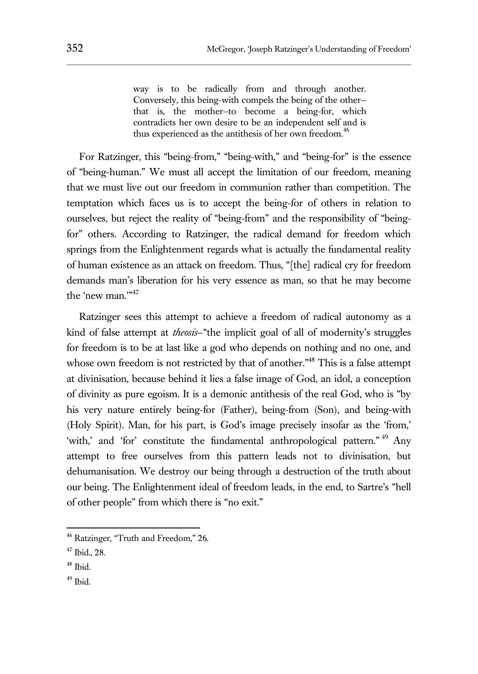way is to be radically from and through another. Conversely, this being-with compels the being of the other that is, the mother—to become a being-for, which contradicts her own desire to be an independent self and is thus experienced as the antithesis of her own freedom.<sup>46</sup>

For Ratzinger, this "being-from," "being-with," and "being-for" is the essence of "being-human." We must all accept the limitation of our freedom, meaning that we must live out our freedom in communion rather than competition. The temptation which faces us is to accept the being-for of others in relation to ourselves, but reject the reality of "being-from" and the responsibility of "beingfor" others. According to Ratzinger, the radical demand for freedom which springs from the Enlightenment regards what is actually the fundamental reality of human existence as an attack on freedom. Thus, "[the] radical cry for freedom demands man's liberation for his very essence as man, so that he may become the 'new man."<sup>47</sup>

Ratzinger sees this attempt to achieve a freedom of radical autonomy as a kind of false attempt at *theosis*—"the implicit goal of all of modernity's struggles for freedom is to be at last like a god who depends on nothing and no one, and whose own freedom is not restricted by that of another."<sup>48</sup> This is a false attempt at divinisation, because behind it lies a false image of God, an idol, a conception of divinity as pure egoism. It is a demonic antithesis of the real God, who is "by his very nature entirely being-for (Father), being-from (Son), and being-with (Holy Spirit). Man, for his part, is God's image precisely insofar as the 'from,' 'with,' and 'for' constitute the fundamental anthropological pattern."<sup>49</sup> Any attempt to free ourselves from this pattern leads not to divinisation, but dehumanisation. We destroy our being through a destruction of the truth about our being. The Enlightenment ideal of freedom leads, in the end, to Sartre's "hell of other people" from which there is "no exit."

 $\overline{a}$ 

 $49$  Ibid.

<sup>46</sup> Ratzinger, "Truth and Freedom," 26.

<sup>47</sup> Ibid., 28.

 $48$  Ibid.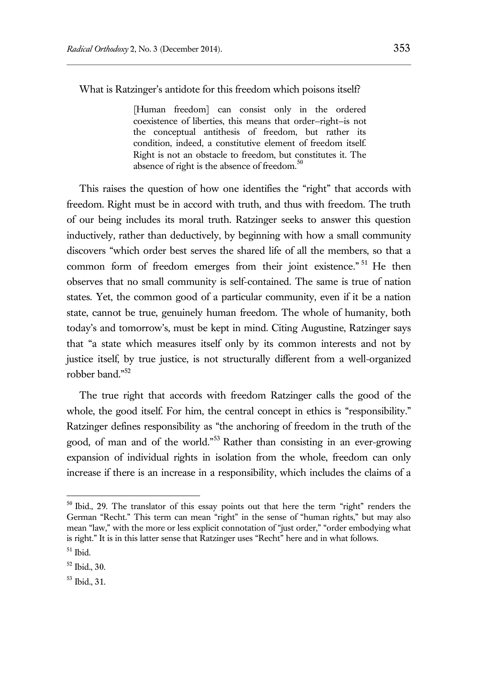What is Ratzinger's antidote for this freedom which poisons itself?

[Human freedom] can consist only in the ordered coexistence of liberties, this means that order—right—is not the conceptual antithesis of freedom, but rather its condition, indeed, a constitutive element of freedom itself. Right is not an obstacle to freedom, but constitutes it. The absence of right is the absence of freedom. $50$ 

This raises the question of how one identifies the "right" that accords with freedom. Right must be in accord with truth, and thus with freedom. The truth of our being includes its moral truth. Ratzinger seeks to answer this question inductively, rather than deductively, by beginning with how a small community discovers "which order best serves the shared life of all the members, so that a common form of freedom emerges from their joint existence."<sup>51</sup> He then observes that no small community is self-contained. The same is true of nation states. Yet, the common good of a particular community, even if it be a nation state, cannot be true, genuinely human freedom. The whole of humanity, both today's and tomorrow's, must be kept in mind. Citing Augustine, Ratzinger says that "a state which measures itself only by its common interests and not by justice itself, by true justice, is not structurally different from a well-organized robber band."<sup>52</sup>

The true right that accords with freedom Ratzinger calls the good of the whole, the good itself. For him, the central concept in ethics is "responsibility." Ratzinger defines responsibility as "the anchoring of freedom in the truth of the good, of man and of the world." <sup>53</sup> Rather than consisting in an ever-growing expansion of individual rights in isolation from the whole, freedom can only increase if there is an increase in a responsibility, which includes the claims of a

 $50$  Ibid., 29. The translator of this essay points out that here the term "right" renders the German "Recht." This term can mean "right" in the sense of "human rights," but may also mean "law," with the more or less explicit connotation of "just order," "order embodying what is right." It is in this latter sense that Ratzinger uses "Recht" here and in what follows.  $51$  Ibid.

<sup>52</sup> Ibid., 30.

<sup>53</sup> Ibid., 31.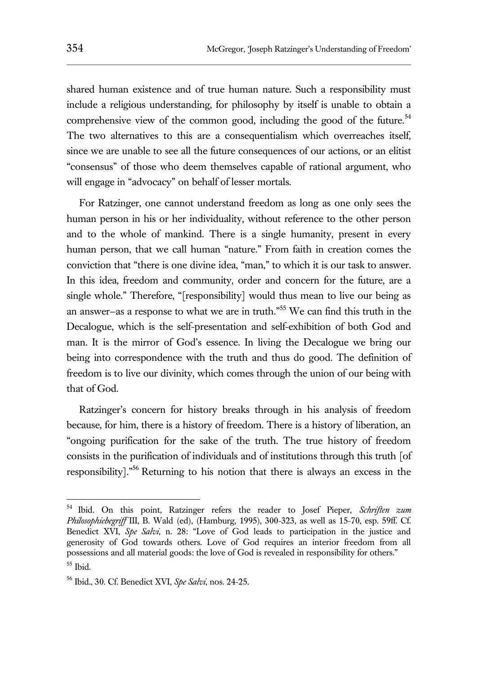shared human existence and of true human nature. Such a responsibility must include a religious understanding, for philosophy by itself is unable to obtain a comprehensive view of the common good, including the good of the future.<sup>54</sup> The two alternatives to this are a consequentialism which overreaches itself, since we are unable to see all the future consequences of our actions, or an elitist "consensus" of those who deem themselves capable of rational argument, who will engage in "advocacy" on behalf of lesser mortals.

For Ratzinger, one cannot understand freedom as long as one only sees the human person in his or her individuality, without reference to the other person and to the whole of mankind. There is a single humanity, present in every human person, that we call human "nature." From faith in creation comes the conviction that "there is one divine idea, "man," to which it is our task to answer. In this idea, freedom and community, order and concern for the future, are a single whole." Therefore, "[responsibility] would thus mean to live our being as an answer—as a response to what we are in truth." <sup>55</sup> We can find this truth in the Decalogue, which is the self-presentation and self-exhibition of both God and man. It is the mirror of God's essence. In living the Decalogue we bring our being into correspondence with the truth and thus do good. The definition of freedom is to live our divinity, which comes through the union of our being with that of God.

Ratzinger's concern for history breaks through in his analysis of freedom because, for him, there is a history of freedom. There is a history of liberation, an "ongoing purification for the sake of the truth. The true history of freedom consists in the purification of individuals and of institutions through this truth [of responsibility]."<sup>56</sup> Returning to his notion that there is always an excess in the

<sup>54</sup> Ibid. On this point, Ratzinger refers the reader to Josef Pieper, *Schriften zum Philosophiebegriff* III, B. Wald (ed), (Hamburg, 1995), 300-323, as well as 15-70, esp. 59ff. Cf. Benedict XVI, *Spe Salvi*, n. 28: "Love of God leads to participation in the justice and generosity of God towards others. Love of God requires an interior freedom from all possessions and all material goods: the love of God is revealed in responsibility for others."

 $55$  Ibid.

<sup>56</sup> Ibid., 30. Cf. Benedict XVI, *Spe Salvi*, nos. 24-25.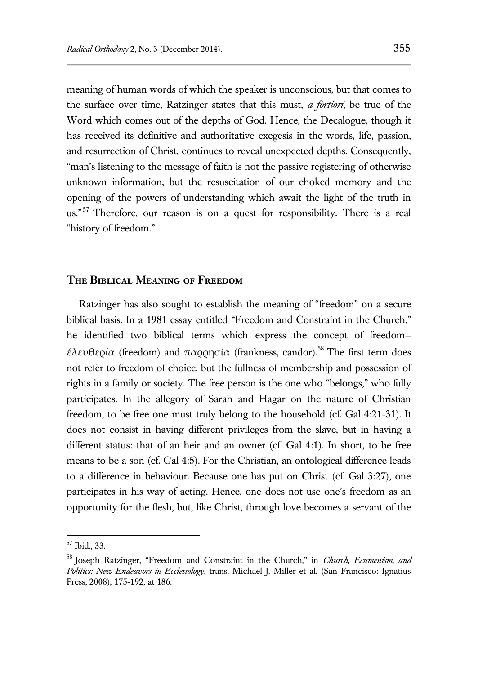meaning of human words of which the speaker is unconscious, but that comes to the surface over time, Ratzinger states that this must, *a fortiori*, be true of the Word which comes out of the depths of God. Hence, the Decalogue, though it has received its definitive and authoritative exegesis in the words, life, passion, and resurrection of Christ, continues to reveal unexpected depths. Consequently, "man's listening to the message of faith is not the passive registering of otherwise unknown information, but the resuscitation of our choked memory and the opening of the powers of understanding which await the light of the truth in us."<sup>57</sup> Therefore, our reason is on a quest for responsibility. There is a real "history of freedom."

## **The Biblical Meaning of Freedom**

Ratzinger has also sought to establish the meaning of "freedom" on a secure biblical basis. In a 1981 essay entitled "Freedom and Constraint in the Church," he identified two biblical terms which express the concept of freedom έλευθερία (freedom) and παρρησία (frankness, candor).<sup>58</sup> The first term does not refer to freedom of choice, but the fullness of membership and possession of rights in a family or society. The free person is the one who "belongs," who fully participates. In the allegory of Sarah and Hagar on the nature of Christian freedom, to be free one must truly belong to the household (cf. Gal 4:21-31). It does not consist in having different privileges from the slave, but in having a different status: that of an heir and an owner (cf. Gal 4:1). In short, to be free means to be a son (cf. Gal 4:5). For the Christian, an ontological difference leads to a difference in behaviour. Because one has put on Christ (cf. Gal 3:27), one participates in his way of acting. Hence, one does not use one's freedom as an opportunity for the flesh, but, like Christ, through love becomes a servant of the

<sup>57</sup> Ibid., 33.

<sup>&</sup>lt;sup>58</sup> Joseph Ratzinger, "Freedom and Constraint in the Church," in *Church, Ecumenism, and Politics: New Endeavors in Ecclesiology*, trans. Michael J. Miller et al. (San Francisco: Ignatius Press, 2008), 175-192, at 186.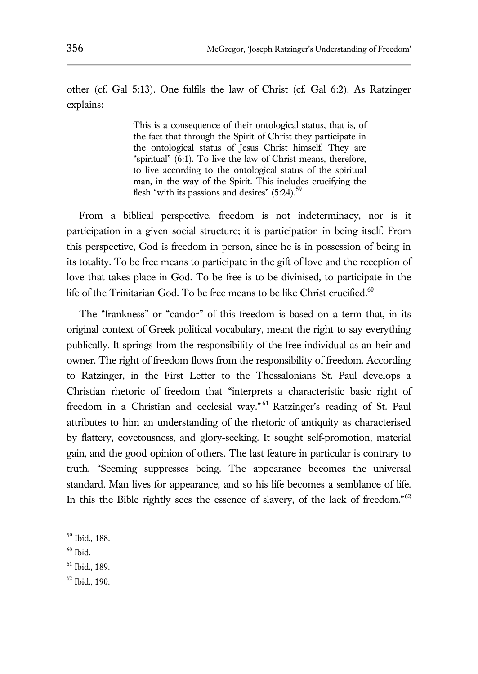other (cf. Gal 5:13). One fulfils the law of Christ (cf. Gal 6:2). As Ratzinger explains:

> This is a consequence of their ontological status, that is, of the fact that through the Spirit of Christ they participate in the ontological status of Jesus Christ himself. They are "spiritual" (6:1). To live the law of Christ means, therefore, to live according to the ontological status of the spiritual man, in the way of the Spirit. This includes crucifying the flesh "with its passions and desires"  $(5:24)$ .<sup>59</sup>

From a biblical perspective, freedom is not indeterminacy, nor is it participation in a given social structure; it is participation in being itself. From this perspective, God is freedom in person, since he is in possession of being in its totality. To be free means to participate in the gift of love and the reception of love that takes place in God. To be free is to be divinised, to participate in the life of the Trinitarian God. To be free means to be like Christ crucified. $60$ 

The "frankness" or "candor" of this freedom is based on a term that, in its original context of Greek political vocabulary, meant the right to say everything publically. It springs from the responsibility of the free individual as an heir and owner. The right of freedom flows from the responsibility of freedom. According to Ratzinger, in the First Letter to the Thessalonians St. Paul develops a Christian rhetoric of freedom that "interprets a characteristic basic right of freedom in a Christian and ecclesial way."<sup>61</sup> Ratzinger's reading of St. Paul attributes to him an understanding of the rhetoric of antiquity as characterised by flattery, covetousness, and glory-seeking. It sought self-promotion, material gain, and the good opinion of others. The last feature in particular is contrary to truth. "Seeming suppresses being. The appearance becomes the universal standard. Man lives for appearance, and so his life becomes a semblance of life. In this the Bible rightly sees the essence of slavery, of the lack of freedom."<sup>62</sup>

<sup>59</sup> Ibid., 188.

 $60$  Ibid.

<sup>61</sup> Ibid., 189.

<sup>62</sup> Ibid., 190.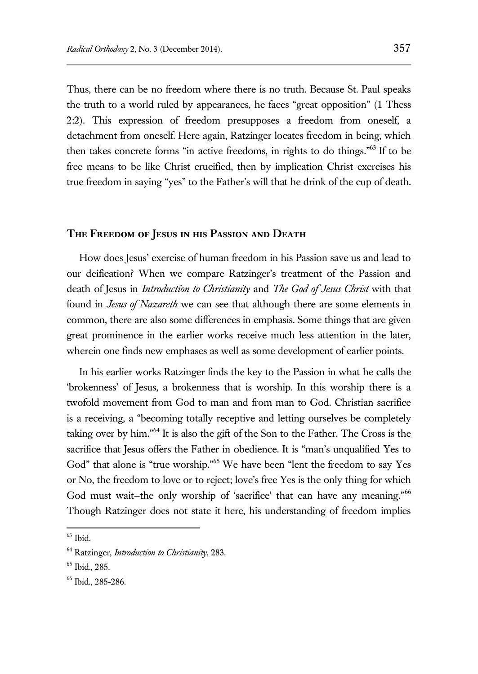Thus, there can be no freedom where there is no truth. Because St. Paul speaks the truth to a world ruled by appearances, he faces "great opposition" (1 Thess 2:2). This expression of freedom presupposes a freedom from oneself, a detachment from oneself. Here again, Ratzinger locates freedom in being, which then takes concrete forms "in active freedoms, in rights to do things." <sup>63</sup> If to be free means to be like Christ crucified, then by implication Christ exercises his true freedom in saying "yes" to the Father's will that he drink of the cup of death.

#### **The Freedom of Jesus in his Passion and Death**

How does Jesus' exercise of human freedom in his Passion save us and lead to our deification? When we compare Ratzinger's treatment of the Passion and death of Jesus in *Introduction to Christianity* and *The God of Jesus Christ* with that found in *Jesus of Nazareth* we can see that although there are some elements in common, there are also some differences in emphasis. Some things that are given great prominence in the earlier works receive much less attention in the later, wherein one finds new emphases as well as some development of earlier points.

In his earlier works Ratzinger finds the key to the Passion in what he calls the 'brokenness' of Jesus, a brokenness that is worship. In this worship there is a twofold movement from God to man and from man to God. Christian sacrifice is a receiving, a "becoming totally receptive and letting ourselves be completely taking over by him." <sup>64</sup> It is also the gift of the Son to the Father. The Cross is the sacrifice that Jesus offers the Father in obedience. It is "man's unqualified Yes to God" that alone is "true worship." <sup>65</sup> We have been "lent the freedom to say Yes or No, the freedom to love or to reject; love's free Yes is the only thing for which God must wait-the only worship of 'sacrifice' that can have any meaning."<sup>66</sup> Though Ratzinger does not state it here, his understanding of freedom implies

 $63$  Ibid.

<sup>64</sup> Ratzinger, *Introduction to Christianity*, 283.

<sup>65</sup> Ibid., 285.

<sup>66</sup> Ibid., 285-286.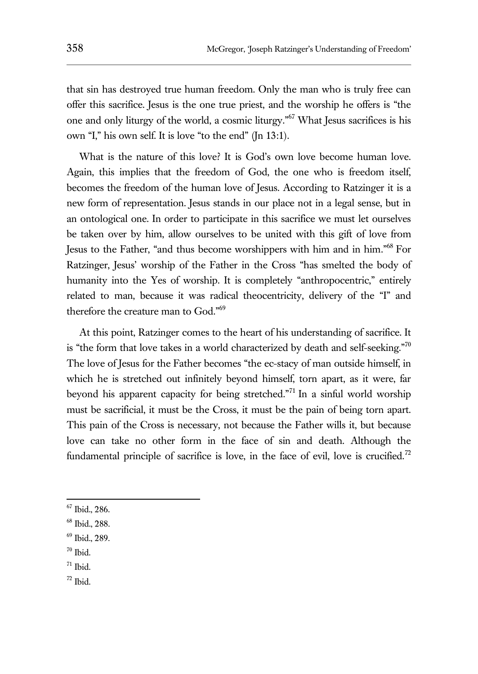that sin has destroyed true human freedom. Only the man who is truly free can offer this sacrifice. Jesus is the one true priest, and the worship he offers is "the one and only liturgy of the world, a cosmic liturgy." <sup>67</sup> What Jesus sacrifices is his own "I," his own self. It is love "to the end" (Jn 13:1).

What is the nature of this love? It is God's own love become human love. Again, this implies that the freedom of God, the one who is freedom itself, becomes the freedom of the human love of Jesus. According to Ratzinger it is a new form of representation. Jesus stands in our place not in a legal sense, but in an ontological one. In order to participate in this sacrifice we must let ourselves be taken over by him, allow ourselves to be united with this gift of love from Jesus to the Father, "and thus become worshippers with him and in him." <sup>68</sup> For Ratzinger, Jesus' worship of the Father in the Cross "has smelted the body of humanity into the Yes of worship. It is completely "anthropocentric," entirely related to man, because it was radical theocentricity, delivery of the "I" and therefore the creature man to God." 69

At this point, Ratzinger comes to the heart of his understanding of sacrifice. It is "the form that love takes in a world characterized by death and self-seeking."<sup>70</sup> The love of Jesus for the Father becomes "the ec-stacy of man outside himself, in which he is stretched out infinitely beyond himself, torn apart, as it were, far beyond his apparent capacity for being stretched." <sup>71</sup> In a sinful world worship must be sacrificial, it must be the Cross, it must be the pain of being torn apart. This pain of the Cross is necessary, not because the Father wills it, but because love can take no other form in the face of sin and death. Although the fundamental principle of sacrifice is love, in the face of evil, love is crucified.<sup>72</sup>

 $70$  Ibid.

- $71$  Ibid.
- <sup>72</sup> Ibid.

<sup>67</sup> Ibid., 286.

<sup>68</sup> Ibid., 288.

<sup>69</sup> Ibid., 289.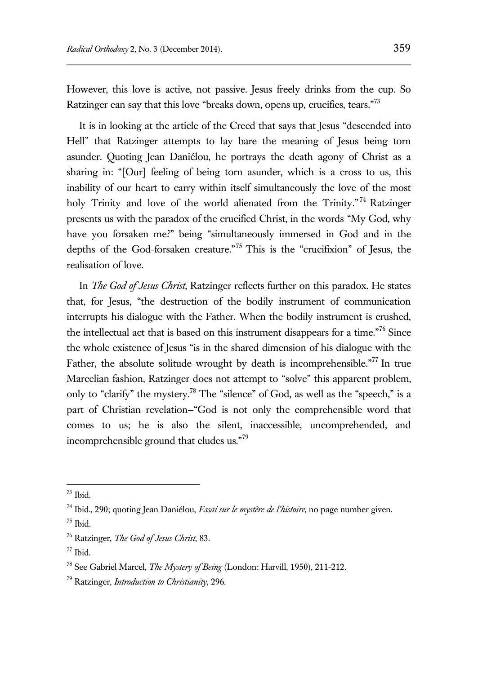However, this love is active, not passive. Jesus freely drinks from the cup. So Ratzinger can say that this love "breaks down, opens up, crucifies, tears."<sup>73</sup>

It is in looking at the article of the Creed that says that Jesus "descended into Hell" that Ratzinger attempts to lay bare the meaning of Jesus being torn asunder. Quoting Jean Daniélou, he portrays the death agony of Christ as a sharing in: "[Our] feeling of being torn asunder, which is a cross to us, this inability of our heart to carry within itself simultaneously the love of the most holy Trinity and love of the world alienated from the Trinity."<sup>74</sup> Ratzinger presents us with the paradox of the crucified Christ, in the words "My God, why have you forsaken me?" being "simultaneously immersed in God and in the depths of the God-forsaken creature." <sup>75</sup> This is the "crucifixion" of Jesus, the realisation of love.

In *The God of Jesus Christ*, Ratzinger reflects further on this paradox. He states that, for Jesus, "the destruction of the bodily instrument of communication interrupts his dialogue with the Father. When the bodily instrument is crushed, the intellectual act that is based on this instrument disappears for a time."<sup>76</sup> Since the whole existence of Jesus "is in the shared dimension of his dialogue with the Father, the absolute solitude wrought by death is incomprehensible."<sup>77</sup> In true Marcelian fashion, Ratzinger does not attempt to "solve" this apparent problem, only to "clarify" the mystery.<sup>78</sup> The "silence" of God, as well as the "speech," is a part of Christian revelation—"God is not only the comprehensible word that comes to us; he is also the silent, inaccessible, uncomprehended, and incomprehensible ground that eludes us."<sup>79</sup>

 $73$  Ibid.

<sup>74</sup> Ibid., 290; quoting Jean Daniélou, *Essai sur le mystère de l'histoire*, no page number given.

 $^{75}$  Ibid.

<sup>76</sup> Ratzinger, *The God of Jesus Christ*, 83.

 $77$  Ibid.

<sup>78</sup> See Gabriel Marcel, *The Mystery of Being* (London: Harvill, 1950), 211-212.

<sup>79</sup> Ratzinger, *Introduction to Christianity*, 296.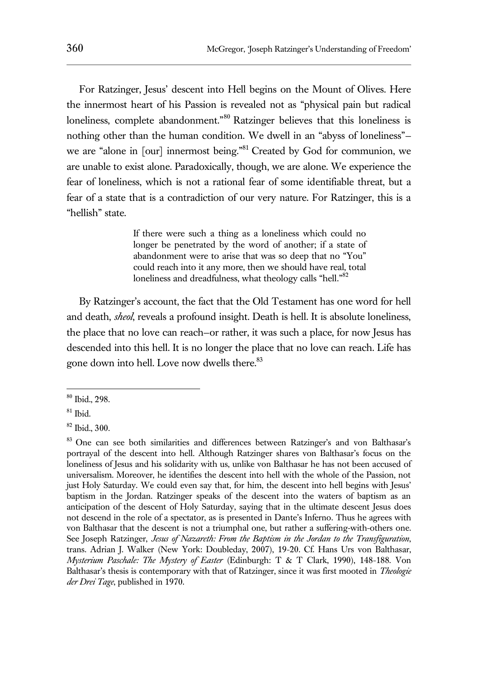For Ratzinger, Jesus' descent into Hell begins on the Mount of Olives. Here the innermost heart of his Passion is revealed not as "physical pain but radical loneliness, complete abandonment."<sup>80</sup> Ratzinger believes that this loneliness is nothing other than the human condition. We dwell in an "abyss of loneliness" we are "alone in [our] innermost being."<sup>81</sup> Created by God for communion, we are unable to exist alone. Paradoxically, though, we are alone. We experience the fear of loneliness, which is not a rational fear of some identifiable threat, but a fear of a state that is a contradiction of our very nature. For Ratzinger, this is a "hellish" state.

> If there were such a thing as a loneliness which could no longer be penetrated by the word of another; if a state of abandonment were to arise that was so deep that no "You" could reach into it any more, then we should have real, total loneliness and dreadfulness, what theology calls "hell."<sup>82</sup>

By Ratzinger's account, the fact that the Old Testament has one word for hell and death, *sheol*, reveals a profound insight. Death is hell. It is absolute loneliness, the place that no love can reach—or rather, it was such a place, for now Jesus has descended into this hell. It is no longer the place that no love can reach. Life has gone down into hell. Love now dwells there.<sup>83</sup>

<sup>80</sup> Ibid., 298.

 $81$  Ibid.

<sup>82</sup> Ibid., 300.

<sup>&</sup>lt;sup>83</sup> One can see both similarities and differences between Ratzinger's and von Balthasar's portrayal of the descent into hell. Although Ratzinger shares von Balthasar's focus on the loneliness of Jesus and his solidarity with us, unlike von Balthasar he has not been accused of universalism. Moreover, he identifies the descent into hell with the whole of the Passion, not just Holy Saturday. We could even say that, for him, the descent into hell begins with Jesus' baptism in the Jordan. Ratzinger speaks of the descent into the waters of baptism as an anticipation of the descent of Holy Saturday, saying that in the ultimate descent Jesus does not descend in the role of a spectator, as is presented in Dante's Inferno. Thus he agrees with von Balthasar that the descent is not a triumphal one, but rather a suffering-with-others one. See Joseph Ratzinger, *Jesus of Nazareth: From the Baptism in the Jordan to the Transfiguration*, trans. Adrian J. Walker (New York: Doubleday, 2007), 19-20. Cf. Hans Urs von Balthasar, *Mysterium Paschale: The Mystery of Easter* (Edinburgh: T & T Clark, 1990), 148-188. Von Balthasar's thesis is contemporary with that of Ratzinger, since it was first mooted in *Theologie der Drei Tage*, published in 1970.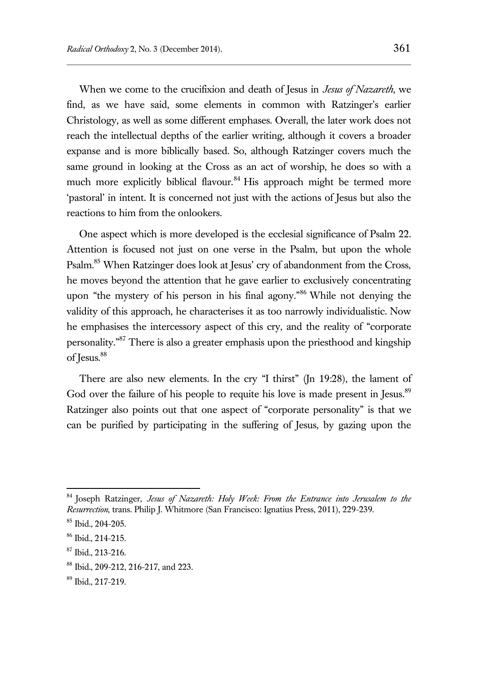When we come to the crucifixion and death of Jesus in *Jesus of Nazareth*, we find, as we have said, some elements in common with Ratzinger's earlier Christology, as well as some different emphases. Overall, the later work does not reach the intellectual depths of the earlier writing, although it covers a broader expanse and is more biblically based. So, although Ratzinger covers much the same ground in looking at the Cross as an act of worship, he does so with a much more explicitly biblical flavour.<sup>84</sup> His approach might be termed more 'pastoral' in intent. It is concerned not just with the actions of Jesus but also the reactions to him from the onlookers.

One aspect which is more developed is the ecclesial significance of Psalm 22. Attention is focused not just on one verse in the Psalm, but upon the whole Psalm.<sup>85</sup> When Ratzinger does look at Jesus' cry of abandonment from the Cross, he moves beyond the attention that he gave earlier to exclusively concentrating upon "the mystery of his person in his final agony." <sup>86</sup> While not denying the validity of this approach, he characterises it as too narrowly individualistic. Now he emphasises the intercessory aspect of this cry, and the reality of "corporate personality."<sup>87</sup> There is also a greater emphasis upon the priesthood and kingship of Jesus.<sup>88</sup>

There are also new elements. In the cry "I thirst" (Jn 19:28), the lament of God over the failure of his people to requite his love is made present in Jesus.<sup>89</sup> Ratzinger also points out that one aspect of "corporate personality" is that we can be purified by participating in the suffering of Jesus, by gazing upon the

<sup>84</sup> Joseph Ratzinger, *Jesus of Nazareth: Holy Week: From the Entrance into Jerusalem to the Resurrection*, trans. Philip J. Whitmore (San Francisco: Ignatius Press, 2011), 229-239.

<sup>85</sup> Ibid., 204-205.

<sup>86</sup> Ibid., 214-215.

 $87$  Ibid., 213-216.

<sup>88</sup> Ibid., 209-212, 216-217, and 223.

<sup>89</sup> Ibid., 217-219.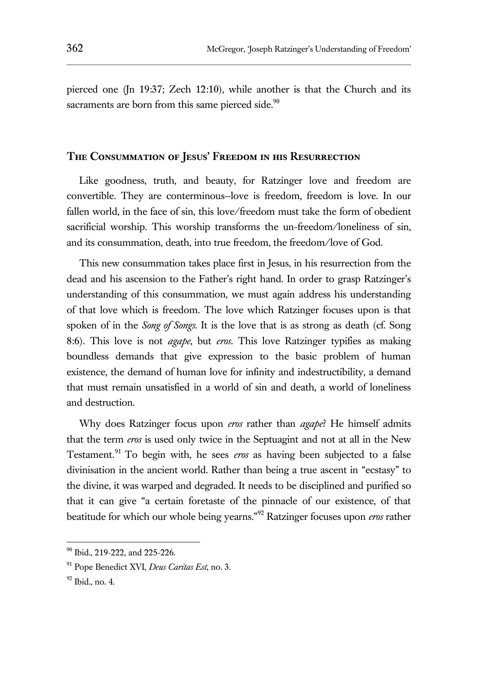pierced one (Jn 19:37; Zech 12:10), while another is that the Church and its sacraments are born from this same pierced side.<sup>90</sup>

#### **The Consummation of Jesus' Freedom in his Resurrection**

Like goodness, truth, and beauty, for Ratzinger love and freedom are convertible. They are conterminous—love is freedom, freedom is love. In our fallen world, in the face of sin, this love/freedom must take the form of obedient sacrificial worship. This worship transforms the un-freedom/loneliness of sin, and its consummation, death, into true freedom, the freedom/love of God.

This new consummation takes place first in Jesus, in his resurrection from the dead and his ascension to the Father's right hand. In order to grasp Ratzinger's understanding of this consummation, we must again address his understanding of that love which is freedom. The love which Ratzinger focuses upon is that spoken of in the *Song of Songs*. It is the love that is as strong as death (cf. Song 8:6). This love is not *agape*, but *eros*. This love Ratzinger typifies as making boundless demands that give expression to the basic problem of human existence, the demand of human love for infinity and indestructibility, a demand that must remain unsatisfied in a world of sin and death, a world of loneliness and destruction.

Why does Ratzinger focus upon *eros* rather than *agape*? He himself admits that the term *eros* is used only twice in the Septuagint and not at all in the New Testament.<sup>91</sup> To begin with, he sees *eros* as having been subjected to a false divinisation in the ancient world. Rather than being a true ascent in "ecstasy" to the divine, it was warped and degraded. It needs to be disciplined and purified so that it can give "a certain foretaste of the pinnacle of our existence, of that beatitude for which our whole being yearns." <sup>92</sup> Ratzinger focuses upon *eros* rather

<sup>90</sup> Ibid., 219-222, and 225-226.

<sup>91</sup> Pope Benedict XVI, *Deus Caritas Est*, no. 3.

 $92$  Ibid., no. 4.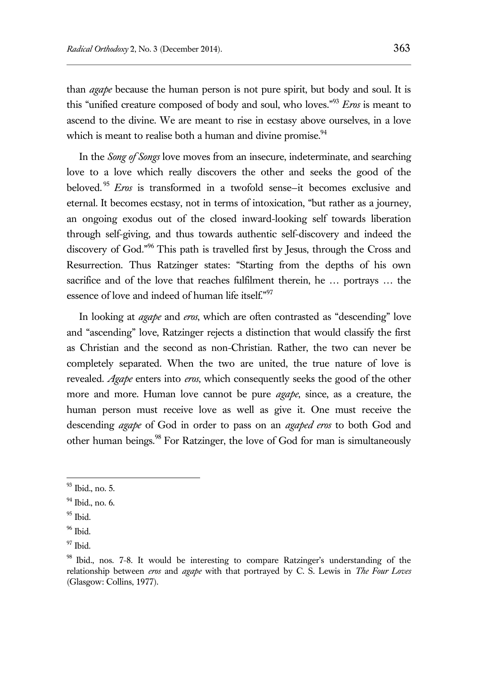than *agape* because the human person is not pure spirit, but body and soul. It is this "unified creature composed of body and soul, who loves." <sup>93</sup> *Eros* is meant to ascend to the divine. We are meant to rise in ecstasy above ourselves, in a love which is meant to realise both a human and divine promise.  $94$ 

In the *Song of Songs* love moves from an insecure, indeterminate, and searching love to a love which really discovers the other and seeks the good of the beloved. <sup>95</sup> *Eros* is transformed in a twofold sense—it becomes exclusive and eternal. It becomes ecstasy, not in terms of intoxication, "but rather as a journey, an ongoing exodus out of the closed inward-looking self towards liberation through self-giving, and thus towards authentic self-discovery and indeed the discovery of God."<sup>96</sup> This path is travelled first by Jesus, through the Cross and Resurrection. Thus Ratzinger states: "Starting from the depths of his own sacrifice and of the love that reaches fulfilment therein, he … portrays … the essence of love and indeed of human life itself."<sup>97</sup>

In looking at *agape* and *eros*, which are often contrasted as "descending" love and "ascending" love, Ratzinger rejects a distinction that would classify the first as Christian and the second as non-Christian. Rather, the two can never be completely separated. When the two are united, the true nature of love is revealed. *Agape* enters into *eros*, which consequently seeks the good of the other more and more. Human love cannot be pure *agape*, since, as a creature, the human person must receive love as well as give it. One must receive the descending *agape* of God in order to pass on an *agaped eros* to both God and other human beings.<sup>98</sup> For Ratzinger, the love of God for man is simultaneously

<sup>&</sup>lt;sup>93</sup> Ibid., no. 5.

 $94$  Ibid., no. 6.

 $95$  Ibid.

 $96$  Ibid.

<sup>97</sup> Ibid.

<sup>&</sup>lt;sup>98</sup> Ibid., nos. 7-8. It would be interesting to compare Ratzinger's understanding of the relationship between *eros* and *agape* with that portrayed by C. S. Lewis in *The Four Loves* (Glasgow: Collins, 1977).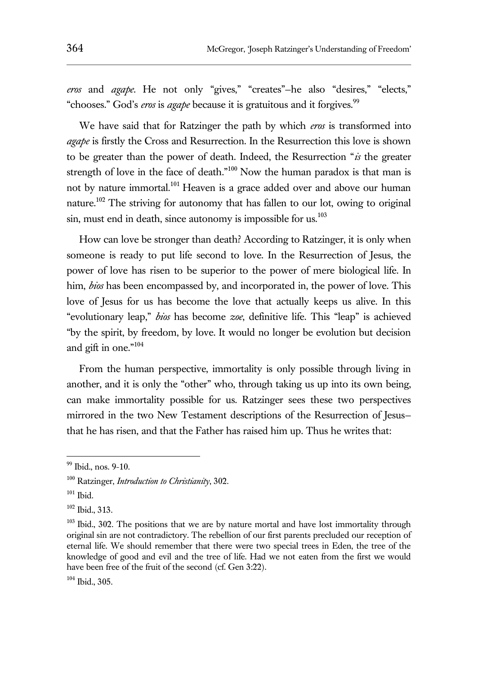*eros* and *agape*. He not only "gives," "creates"—he also "desires," "elects," "chooses." God's *eros* is *agape* because it is gratuitous and it forgives.<sup>99</sup>

We have said that for Ratzinger the path by which *eros* is transformed into *agape* is firstly the Cross and Resurrection. In the Resurrection this love is shown to be greater than the power of death. Indeed, the Resurrection "*is* the greater strength of love in the face of death."<sup>100</sup> Now the human paradox is that man is not by nature immortal.<sup>101</sup> Heaven is a grace added over and above our human nature.<sup>102</sup> The striving for autonomy that has fallen to our lot, owing to original sin, must end in death, since autonomy is impossible for us.<sup>103</sup>

How can love be stronger than death? According to Ratzinger, it is only when someone is ready to put life second to love. In the Resurrection of Jesus, the power of love has risen to be superior to the power of mere biological life. In him, *bios* has been encompassed by, and incorporated in, the power of love. This love of Jesus for us has become the love that actually keeps us alive. In this "evolutionary leap," *bios* has become *zoe*, definitive life. This "leap" is achieved "by the spirit, by freedom, by love. It would no longer be evolution but decision and gift in one."<sup>104</sup>

From the human perspective, immortality is only possible through living in another, and it is only the "other" who, through taking us up into its own being, can make immortality possible for us. Ratzinger sees these two perspectives mirrored in the two New Testament descriptions of the Resurrection of Jesus that he has risen, and that the Father has raised him up. Thus he writes that:

<sup>99</sup> Ibid., nos. 9-10.

<sup>100</sup> Ratzinger, *Introduction to Christianity*, 302.

 $101$  Ibid.

<sup>102</sup> Ibid., 313.

<sup>&</sup>lt;sup>103</sup> Ibid., 302. The positions that we are by nature mortal and have lost immortality through original sin are not contradictory. The rebellion of our first parents precluded our reception of eternal life. We should remember that there were two special trees in Eden, the tree of the knowledge of good and evil and the tree of life. Had we not eaten from the first we would have been free of the fruit of the second (cf. Gen 3:22).

<sup>104</sup> Ibid., 305.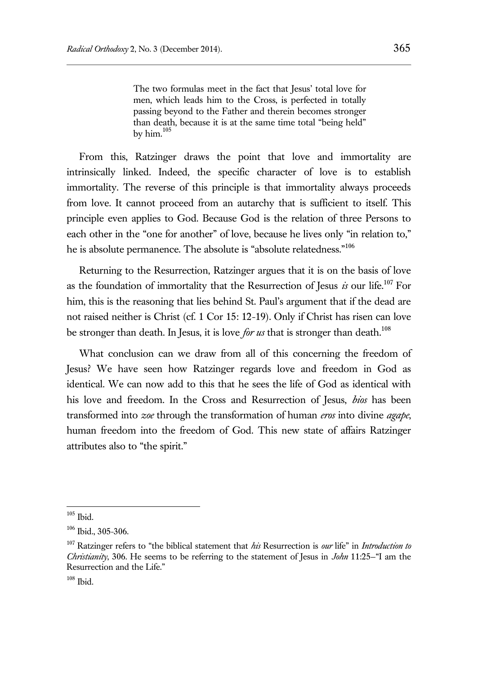The two formulas meet in the fact that Jesus' total love for men, which leads him to the Cross, is perfected in totally passing beyond to the Father and therein becomes stronger than death, because it is at the same time total "being held" by him. $105$ 

From this, Ratzinger draws the point that love and immortality are intrinsically linked. Indeed, the specific character of love is to establish immortality. The reverse of this principle is that immortality always proceeds from love. It cannot proceed from an autarchy that is sufficient to itself. This principle even applies to God. Because God is the relation of three Persons to each other in the "one for another" of love, because he lives only "in relation to," he is absolute permanence. The absolute is "absolute relatedness."<sup>106</sup>

Returning to the Resurrection, Ratzinger argues that it is on the basis of love as the foundation of immortality that the Resurrection of Jesus *is* our life.<sup>107</sup> For him, this is the reasoning that lies behind St. Paul's argument that if the dead are not raised neither is Christ (cf. 1 Cor 15: 12-19). Only if Christ has risen can love be stronger than death. In Jesus, it is love *for us* that is stronger than death.<sup>108</sup>

What conclusion can we draw from all of this concerning the freedom of Jesus? We have seen how Ratzinger regards love and freedom in God as identical. We can now add to this that he sees the life of God as identical with his love and freedom. In the Cross and Resurrection of Jesus, *bios* has been transformed into *zoe* through the transformation of human *eros* into divine *agape*, human freedom into the freedom of God. This new state of affairs Ratzinger attributes also to "the spirit."

 $105$  Ibid.

 $106$  Ibid., 305-306.

<sup>107</sup> Ratzinger refers to "the biblical statement that *his* Resurrection is *our* life" in *Introduction to Christianity*, 306. He seems to be referring to the statement of Jesus in *John* 11:25—"I am the Resurrection and the Life."

<sup>108</sup> Ibid.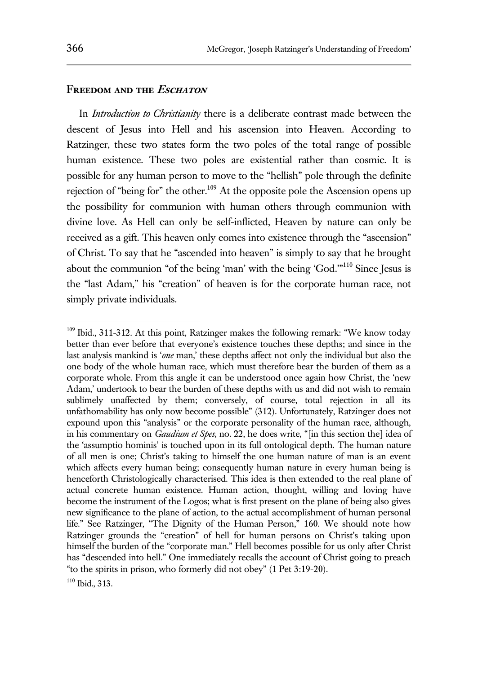## **Freedom and the Eschaton**

In *Introduction to Christianity* there is a deliberate contrast made between the descent of Jesus into Hell and his ascension into Heaven. According to Ratzinger, these two states form the two poles of the total range of possible human existence. These two poles are existential rather than cosmic. It is possible for any human person to move to the "hellish" pole through the definite rejection of "being for" the other.<sup>109</sup> At the opposite pole the Ascension opens up the possibility for communion with human others through communion with divine love. As Hell can only be self-inflicted, Heaven by nature can only be received as a gift. This heaven only comes into existence through the "ascension" of Christ. To say that he "ascended into heaven" is simply to say that he brought about the communion "of the being 'man' with the being 'God."<sup>110</sup> Since Jesus is the "last Adam," his "creation" of heaven is for the corporate human race, not simply private individuals.

<sup>&</sup>lt;sup>109</sup> Ibid., 311-312. At this point, Ratzinger makes the following remark: "We know today better than ever before that everyone's existence touches these depths; and since in the last analysis mankind is '*one* man,' these depths affect not only the individual but also the one body of the whole human race, which must therefore bear the burden of them as a corporate whole. From this angle it can be understood once again how Christ, the 'new Adam,' undertook to bear the burden of these depths with us and did not wish to remain sublimely unaffected by them; conversely, of course, total rejection in all its unfathomability has only now become possible" (312). Unfortunately, Ratzinger does not expound upon this "analysis" or the corporate personality of the human race, although, in his commentary on *Gaudium et Spes*, no. 22, he does write, "[in this section the] idea of the 'assumptio hominis' is touched upon in its full ontological depth. The human nature of all men is one; Christ's taking to himself the one human nature of man is an event which affects every human being; consequently human nature in every human being is henceforth Christologically characterised. This idea is then extended to the real plane of actual concrete human existence. Human action, thought, willing and loving have become the instrument of the Logos; what is first present on the plane of being also gives new significance to the plane of action, to the actual accomplishment of human personal life." See Ratzinger, "The Dignity of the Human Person," 160. We should note how Ratzinger grounds the "creation" of hell for human persons on Christ's taking upon himself the burden of the "corporate man." Hell becomes possible for us only after Christ has "descended into hell." One immediately recalls the account of Christ going to preach "to the spirits in prison, who formerly did not obey" (1 Pet 3:19-20).

<sup>110</sup> Ibid., 313.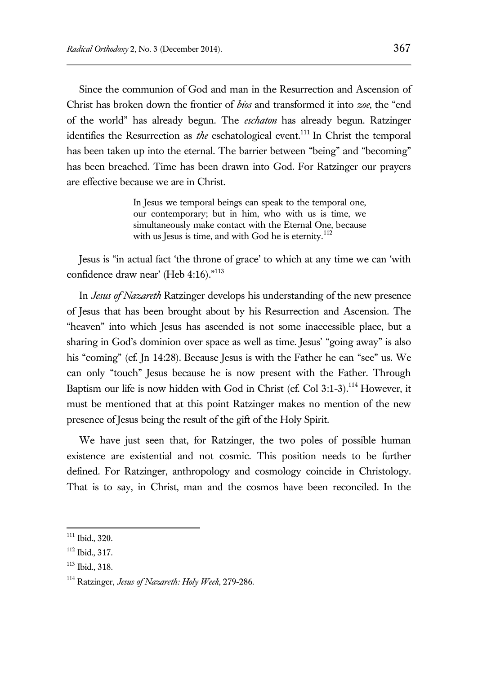Since the communion of God and man in the Resurrection and Ascension of Christ has broken down the frontier of *bios* and transformed it into *zoe*, the "end of the world" has already begun. The *eschaton* has already begun. Ratzinger identifies the Resurrection as *the* eschatological event.<sup>111</sup> In Christ the temporal has been taken up into the eternal. The barrier between "being" and "becoming" has been breached. Time has been drawn into God. For Ratzinger our prayers are effective because we are in Christ.

> In Jesus we temporal beings can speak to the temporal one, our contemporary; but in him, who with us is time, we simultaneously make contact with the Eternal One, because with us Jesus is time, and with God he is eternity. $^{112}$

Jesus is "in actual fact 'the throne of grace' to which at any time we can 'with confidence draw near' (Heb 4:16)."<sup>113</sup>

In *Jesus of Nazareth* Ratzinger develops his understanding of the new presence of Jesus that has been brought about by his Resurrection and Ascension. The "heaven" into which Jesus has ascended is not some inaccessible place, but a sharing in God's dominion over space as well as time. Jesus' "going away" is also his "coming" (cf. Jn 14:28). Because Jesus is with the Father he can "see" us. We can only "touch" Jesus because he is now present with the Father. Through Baptism our life is now hidden with God in Christ (cf. Col 3:1-3).<sup>114</sup> However, it must be mentioned that at this point Ratzinger makes no mention of the new presence of Jesus being the result of the gift of the Holy Spirit.

We have just seen that, for Ratzinger, the two poles of possible human existence are existential and not cosmic. This position needs to be further defined. For Ratzinger, anthropology and cosmology coincide in Christology. That is to say, in Christ, man and the cosmos have been reconciled. In the

<sup>111</sup> Ibid., 320.

<sup>112</sup> Ibid., 317.

<sup>113</sup> Ibid., 318.

<sup>114</sup> Ratzinger, *Jesus of Nazareth: Holy Week*, 279-286.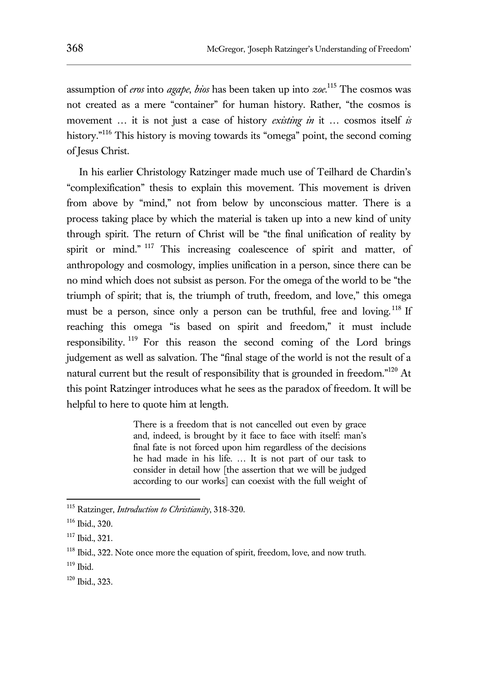assumption of *eros* into *agape*, *bios* has been taken up into *zoe*. <sup>115</sup> The cosmos was not created as a mere "container" for human history. Rather, "the cosmos is movement … it is not just a case of history *existing in* it … cosmos itself *is* history.<sup>"116</sup> This history is moving towards its "omega" point, the second coming of Jesus Christ.

In his earlier Christology Ratzinger made much use of Teilhard de Chardin's "complexification" thesis to explain this movement. This movement is driven from above by "mind," not from below by unconscious matter. There is a process taking place by which the material is taken up into a new kind of unity through spirit. The return of Christ will be "the final unification of reality by spirit or mind."<sup>117</sup> This increasing coalescence of spirit and matter, of anthropology and cosmology, implies unification in a person, since there can be no mind which does not subsist as person. For the omega of the world to be "the triumph of spirit; that is, the triumph of truth, freedom, and love," this omega must be a person, since only a person can be truthful, free and loving.<sup>118</sup> If reaching this omega "is based on spirit and freedom," it must include responsibility. <sup>119</sup> For this reason the second coming of the Lord brings judgement as well as salvation. The "final stage of the world is not the result of a natural current but the result of responsibility that is grounded in freedom."<sup>120</sup> At this point Ratzinger introduces what he sees as the paradox of freedom. It will be helpful to here to quote him at length.

> There is a freedom that is not cancelled out even by grace and, indeed, is brought by it face to face with itself: man's final fate is not forced upon him regardless of the decisions he had made in his life. … It is not part of our task to consider in detail how [the assertion that we will be judged according to our works] can coexist with the full weight of

<sup>115</sup> Ratzinger, *Introduction to Christianity*, 318-320.

<sup>116</sup> Ibid., 320.

<sup>117</sup> Ibid., 321.

<sup>&</sup>lt;sup>118</sup> Ibid., 322. Note once more the equation of spirit, freedom, love, and now truth.

 $119$  Ibid.

<sup>120</sup> Ibid., 323.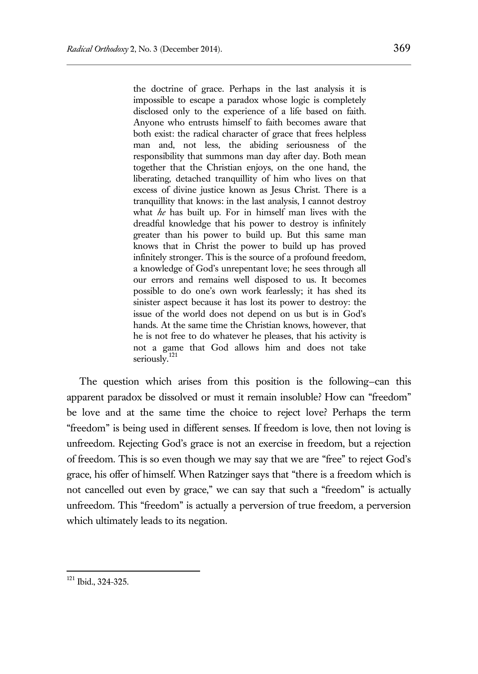the doctrine of grace. Perhaps in the last analysis it is impossible to escape a paradox whose logic is completely disclosed only to the experience of a life based on faith. Anyone who entrusts himself to faith becomes aware that both exist: the radical character of grace that frees helpless man and, not less, the abiding seriousness of the responsibility that summons man day after day. Both mean together that the Christian enjoys, on the one hand, the liberating, detached tranquillity of him who lives on that excess of divine justice known as Jesus Christ. There is a tranquillity that knows: in the last analysis, I cannot destroy what *he* has built up. For in himself man lives with the dreadful knowledge that his power to destroy is infinitely greater than his power to build up. But this same man knows that in Christ the power to build up has proved infinitely stronger. This is the source of a profound freedom, a knowledge of God's unrepentant love; he sees through all our errors and remains well disposed to us. It becomes possible to do one's own work fearlessly; it has shed its sinister aspect because it has lost its power to destroy: the issue of the world does not depend on us but is in God's hands. At the same time the Christian knows, however, that he is not free to do whatever he pleases, that his activity is not a game that God allows him and does not take seriously.<sup>121</sup>

The question which arises from this position is the following—can this apparent paradox be dissolved or must it remain insoluble? How can "freedom" be love and at the same time the choice to reject love? Perhaps the term "freedom" is being used in different senses. If freedom is love, then not loving is unfreedom. Rejecting God's grace is not an exercise in freedom, but a rejection of freedom. This is so even though we may say that we are "free" to reject God's grace, his offer of himself. When Ratzinger says that "there is a freedom which is not cancelled out even by grace," we can say that such a "freedom" is actually unfreedom. This "freedom" is actually a perversion of true freedom, a perversion which ultimately leads to its negation.

<sup>&</sup>lt;sup>121</sup> Ibid., 324-325.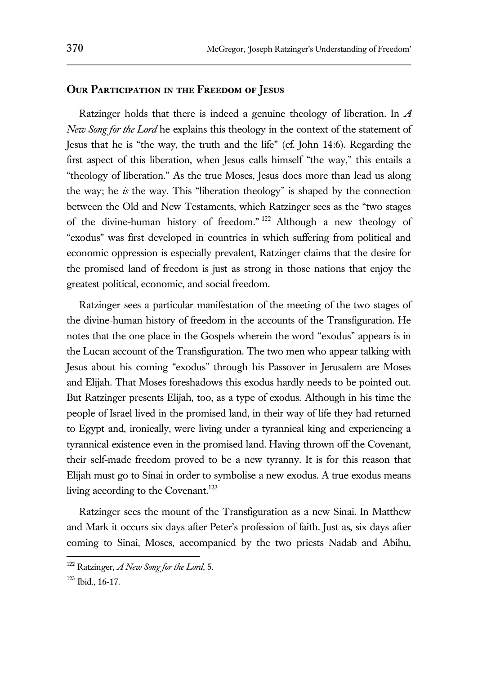#### **Our Participation in the Freedom of Jesus**

Ratzinger holds that there is indeed a genuine theology of liberation. In *A New Song for the Lord* he explains this theology in the context of the statement of Jesus that he is "the way, the truth and the life" (cf. John 14:6). Regarding the first aspect of this liberation, when Jesus calls himself "the way," this entails a "theology of liberation." As the true Moses, Jesus does more than lead us along the way; he *is* the way. This "liberation theology" is shaped by the connection between the Old and New Testaments, which Ratzinger sees as the "two stages of the divine-human history of freedom." <sup>122</sup> Although a new theology of "exodus" was first developed in countries in which suffering from political and economic oppression is especially prevalent, Ratzinger claims that the desire for the promised land of freedom is just as strong in those nations that enjoy the greatest political, economic, and social freedom.

Ratzinger sees a particular manifestation of the meeting of the two stages of the divine-human history of freedom in the accounts of the Transfiguration. He notes that the one place in the Gospels wherein the word "exodus" appears is in the Lucan account of the Transfiguration. The two men who appear talking with Jesus about his coming "exodus" through his Passover in Jerusalem are Moses and Elijah. That Moses foreshadows this exodus hardly needs to be pointed out. But Ratzinger presents Elijah, too, as a type of exodus. Although in his time the people of Israel lived in the promised land, in their way of life they had returned to Egypt and, ironically, were living under a tyrannical king and experiencing a tyrannical existence even in the promised land. Having thrown off the Covenant, their self-made freedom proved to be a new tyranny. It is for this reason that Elijah must go to Sinai in order to symbolise a new exodus. A true exodus means living according to the Covenant.<sup>123</sup>

Ratzinger sees the mount of the Transfiguration as a new Sinai. In Matthew and Mark it occurs six days after Peter's profession of faith. Just as, six days after coming to Sinai, Moses, accompanied by the two priests Nadab and Abihu,

<sup>122</sup> Ratzinger, *A New Song for the Lord*, 5.

<sup>123</sup> Ibid., 16-17.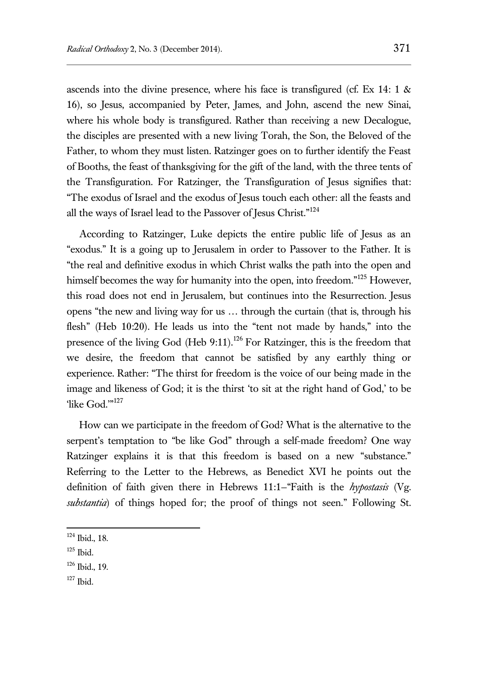ascends into the divine presence, where his face is transfigured (cf. Ex 14: 1 & 16), so Jesus, accompanied by Peter, James, and John, ascend the new Sinai, where his whole body is transfigured. Rather than receiving a new Decalogue, the disciples are presented with a new living Torah, the Son, the Beloved of the Father, to whom they must listen. Ratzinger goes on to further identify the Feast of Booths, the feast of thanksgiving for the gift of the land, with the three tents of the Transfiguration. For Ratzinger, the Transfiguration of Jesus signifies that: "The exodus of Israel and the exodus of Jesus touch each other: all the feasts and all the ways of Israel lead to the Passover of Jesus Christ."<sup>124</sup>

According to Ratzinger, Luke depicts the entire public life of Jesus as an "exodus." It is a going up to Jerusalem in order to Passover to the Father. It is "the real and definitive exodus in which Christ walks the path into the open and himself becomes the way for humanity into the open, into freedom."<sup>125</sup> However, this road does not end in Jerusalem, but continues into the Resurrection. Jesus opens "the new and living way for us … through the curtain (that is, through his flesh" (Heb 10:20). He leads us into the "tent not made by hands," into the presence of the living God (Heb 9:11).<sup>126</sup> For Ratzinger, this is the freedom that we desire, the freedom that cannot be satisfied by any earthly thing or experience. Rather: "The thirst for freedom is the voice of our being made in the image and likeness of God; it is the thirst 'to sit at the right hand of God,' to be 'like God.'"<sup>127</sup>

How can we participate in the freedom of God? What is the alternative to the serpent's temptation to "be like God" through a self-made freedom? One way Ratzinger explains it is that this freedom is based on a new "substance." Referring to the Letter to the Hebrews, as Benedict XVI he points out the definition of faith given there in Hebrews 11:1—"Faith is the *hypostasis* (Vg. *substantia*) of things hoped for; the proof of things not seen." Following St.

<sup>124</sup> Ibid., 18.

<sup>125</sup> Ibid.

<sup>126</sup> Ibid., 19.

<sup>127</sup> Ibid.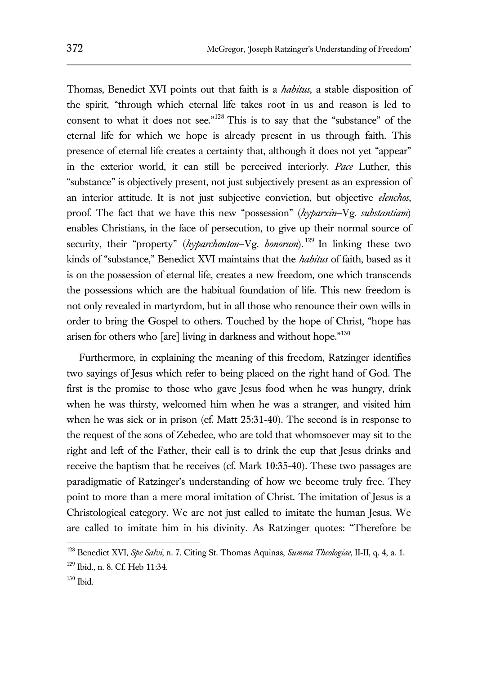Thomas, Benedict XVI points out that faith is a *habitus*, a stable disposition of the spirit, "through which eternal life takes root in us and reason is led to consent to what it does not see." <sup>128</sup> This is to say that the "substance" of the eternal life for which we hope is already present in us through faith. This presence of eternal life creates a certainty that, although it does not yet "appear" in the exterior world, it can still be perceived interiorly. *Pace* Luther, this "substance" is objectively present, not just subjectively present as an expression of an interior attitude. It is not just subjective conviction, but objective *elenchos*, proof. The fact that we have this new "possession" (*hyparxin*—Vg. *substantiam*) enables Christians, in the face of persecution, to give up their normal source of security, their "property" (*hyparchonton*-Vg. *bonorum*).<sup>129</sup> In linking these two kinds of "substance," Benedict XVI maintains that the *habitus* of faith, based as it is on the possession of eternal life, creates a new freedom, one which transcends the possessions which are the habitual foundation of life. This new freedom is not only revealed in martyrdom, but in all those who renounce their own wills in order to bring the Gospel to others. Touched by the hope of Christ, "hope has arisen for others who [are] living in darkness and without hope."<sup>130</sup>

Furthermore, in explaining the meaning of this freedom, Ratzinger identifies two sayings of Jesus which refer to being placed on the right hand of God. The first is the promise to those who gave Jesus food when he was hungry, drink when he was thirsty, welcomed him when he was a stranger, and visited him when he was sick or in prison (cf. Matt 25:31-40). The second is in response to the request of the sons of Zebedee, who are told that whomsoever may sit to the right and left of the Father, their call is to drink the cup that Jesus drinks and receive the baptism that he receives (cf. Mark 10:35-40). These two passages are paradigmatic of Ratzinger's understanding of how we become truly free. They point to more than a mere moral imitation of Christ. The imitation of Jesus is a Christological category. We are not just called to imitate the human Jesus. We are called to imitate him in his divinity. As Ratzinger quotes: "Therefore be

<sup>128</sup> Benedict XVI, *Spe Salvi*, n. 7. Citing St. Thomas Aquinas, *Summa Theologiae*, II-II, q. 4, a. 1. <sup>129</sup> Ibid., n. 8. Cf. Heb 11:34.

<sup>130</sup> Ibid.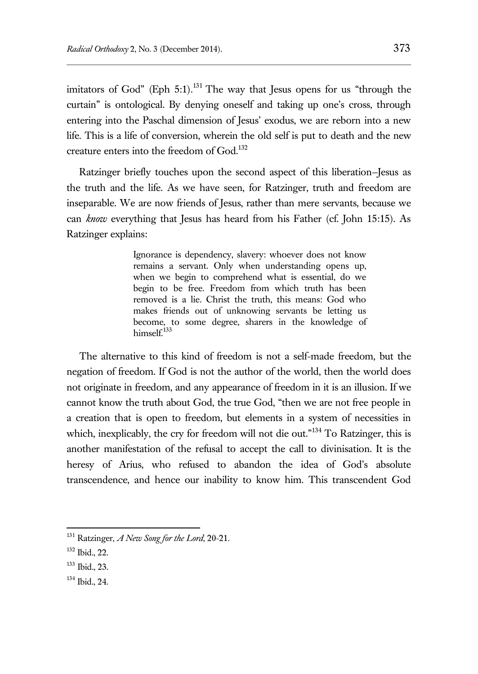imitators of God" (Eph 5:1).<sup>131</sup> The way that Jesus opens for us "through the curtain" is ontological. By denying oneself and taking up one's cross, through entering into the Paschal dimension of Jesus' exodus, we are reborn into a new life. This is a life of conversion, wherein the old self is put to death and the new creature enters into the freedom of God.<sup>132</sup>

Ratzinger briefly touches upon the second aspect of this liberation—Jesus as the truth and the life. As we have seen, for Ratzinger, truth and freedom are inseparable. We are now friends of Jesus, rather than mere servants, because we can *know* everything that Jesus has heard from his Father (cf. John 15:15). As Ratzinger explains:

> Ignorance is dependency, slavery: whoever does not know remains a servant. Only when understanding opens up, when we begin to comprehend what is essential, do we begin to be free. Freedom from which truth has been removed is a lie. Christ the truth, this means: God who makes friends out of unknowing servants be letting us become, to some degree, sharers in the knowledge of himsel $f^{133}$

The alternative to this kind of freedom is not a self-made freedom, but the negation of freedom. If God is not the author of the world, then the world does not originate in freedom, and any appearance of freedom in it is an illusion. If we cannot know the truth about God, the true God, "then we are not free people in a creation that is open to freedom, but elements in a system of necessities in which, inexplicably, the cry for freedom will not die out."<sup>134</sup> To Ratzinger, this is another manifestation of the refusal to accept the call to divinisation. It is the heresy of Arius, who refused to abandon the idea of God's absolute transcendence, and hence our inability to know him. This transcendent God

 $\overline{a}$ 

<sup>133</sup> Ibid., 23.

<sup>131</sup> Ratzinger, *A New Song for the Lord*, 20-21.

<sup>132</sup> Ibid., 22.

<sup>134</sup> Ibid., 24.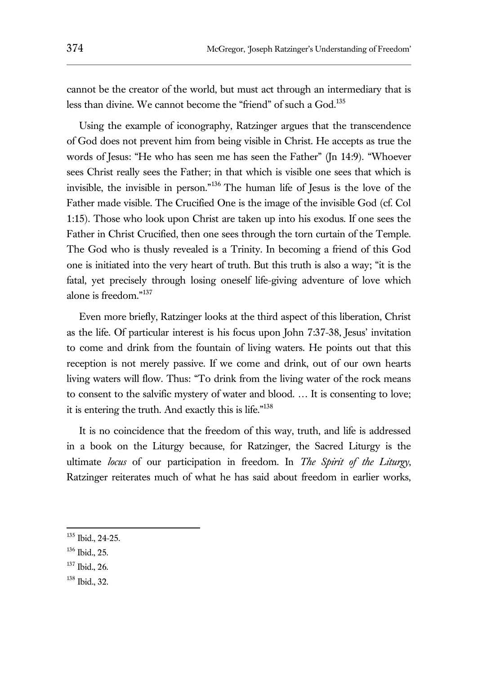cannot be the creator of the world, but must act through an intermediary that is less than divine. We cannot become the "friend" of such a God.<sup>135</sup>

Using the example of iconography, Ratzinger argues that the transcendence of God does not prevent him from being visible in Christ. He accepts as true the words of Jesus: "He who has seen me has seen the Father" (Jn 14:9). "Whoever sees Christ really sees the Father; in that which is visible one sees that which is invisible, the invisible in person."<sup>136</sup> The human life of Jesus is the love of the Father made visible. The Crucified One is the image of the invisible God (cf. Col 1:15). Those who look upon Christ are taken up into his exodus. If one sees the Father in Christ Crucified, then one sees through the torn curtain of the Temple. The God who is thusly revealed is a Trinity. In becoming a friend of this God one is initiated into the very heart of truth. But this truth is also a way; "it is the fatal, yet precisely through losing oneself life-giving adventure of love which alone is freedom." 137

Even more briefly, Ratzinger looks at the third aspect of this liberation, Christ as the life. Of particular interest is his focus upon John 7:37-38, Jesus' invitation to come and drink from the fountain of living waters. He points out that this reception is not merely passive. If we come and drink, out of our own hearts living waters will flow. Thus: "To drink from the living water of the rock means to consent to the salvific mystery of water and blood. … It is consenting to love; it is entering the truth. And exactly this is life."<sup>138</sup>

It is no coincidence that the freedom of this way, truth, and life is addressed in a book on the Liturgy because, for Ratzinger, the Sacred Liturgy is the ultimate *locus* of our participation in freedom. In *The Spirit of the Liturgy*, Ratzinger reiterates much of what he has said about freedom in earlier works,

 $\overline{a}$ 

<sup>137</sup> Ibid., 26.

<sup>135</sup> Ibid., 24-25.

<sup>136</sup> Ibid., 25.

<sup>138</sup> Ibid., 32.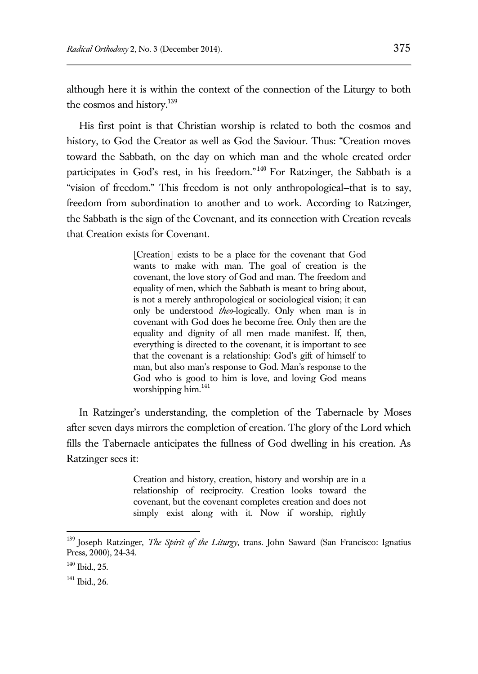although here it is within the context of the connection of the Liturgy to both the cosmos and history.<sup>139</sup>

His first point is that Christian worship is related to both the cosmos and history, to God the Creator as well as God the Saviour. Thus: "Creation moves toward the Sabbath, on the day on which man and the whole created order participates in God's rest, in his freedom."<sup>140</sup> For Ratzinger, the Sabbath is a "vision of freedom." This freedom is not only anthropological—that is to say, freedom from subordination to another and to work. According to Ratzinger, the Sabbath is the sign of the Covenant, and its connection with Creation reveals that Creation exists for Covenant.

> [Creation] exists to be a place for the covenant that God wants to make with man. The goal of creation is the covenant, the love story of God and man. The freedom and equality of men, which the Sabbath is meant to bring about, is not a merely anthropological or sociological vision; it can only be understood *theo*-logically. Only when man is in covenant with God does he become free. Only then are the equality and dignity of all men made manifest. If, then, everything is directed to the covenant, it is important to see that the covenant is a relationship: God's gift of himself to man, but also man's response to God. Man's response to the God who is good to him is love, and loving God means worshipping him.<sup>141</sup>

In Ratzinger's understanding, the completion of the Tabernacle by Moses after seven days mirrors the completion of creation. The glory of the Lord which fills the Tabernacle anticipates the fullness of God dwelling in his creation. As Ratzinger sees it:

> Creation and history, creation, history and worship are in a relationship of reciprocity. Creation looks toward the covenant, but the covenant completes creation and does not simply exist along with it. Now if worship, rightly

<sup>139</sup> Joseph Ratzinger, *The Spirit of the Liturgy*, trans. John Saward (San Francisco: Ignatius Press, 2000), 24-34.

<sup>140</sup> Ibid., 25.

<sup>141</sup> Ibid., 26.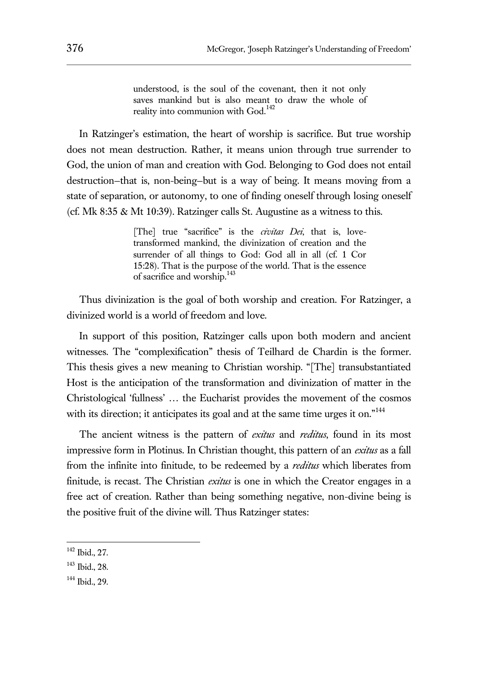understood, is the soul of the covenant, then it not only saves mankind but is also meant to draw the whole of reality into communion with God.<sup>142</sup>

In Ratzinger's estimation, the heart of worship is sacrifice. But true worship does not mean destruction. Rather, it means union through true surrender to God, the union of man and creation with God. Belonging to God does not entail destruction—that is, non-being—but is a way of being. It means moving from a state of separation, or autonomy, to one of finding oneself through losing oneself (cf. Mk 8:35 & Mt 10:39). Ratzinger calls St. Augustine as a witness to this.

> [The] true "sacrifice" is the *civitas Dei*, that is, lovetransformed mankind, the divinization of creation and the surrender of all things to God: God all in all (cf. 1 Cor 15:28). That is the purpose of the world. That is the essence of sacrifice and worship.<sup>143</sup>

Thus divinization is the goal of both worship and creation. For Ratzinger, a divinized world is a world of freedom and love.

In support of this position, Ratzinger calls upon both modern and ancient witnesses. The "complexification" thesis of Teilhard de Chardin is the former. This thesis gives a new meaning to Christian worship. "[The] transubstantiated Host is the anticipation of the transformation and divinization of matter in the Christological 'fullness' … the Eucharist provides the movement of the cosmos with its direction; it anticipates its goal and at the same time urges it on."<sup>144</sup>

The ancient witness is the pattern of *exitus* and *reditus*, found in its most impressive form in Plotinus. In Christian thought, this pattern of an *exitus* as a fall from the infinite into finitude, to be redeemed by a *reditus* which liberates from finitude, is recast. The Christian *exitus* is one in which the Creator engages in a free act of creation. Rather than being something negative, non-divine being is the positive fruit of the divine will. Thus Ratzinger states:

 $\overline{a}$ 

<sup>143</sup> Ibid., 28.

<sup>142</sup> Ibid., 27.

<sup>144</sup> Ibid., 29.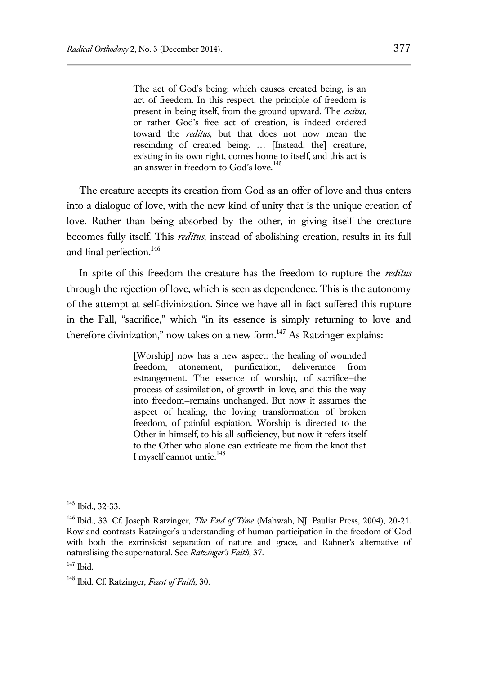The act of God's being, which causes created being, is an act of freedom. In this respect, the principle of freedom is present in being itself, from the ground upward. The *exitus*, or rather God's free act of creation, is indeed ordered toward the *reditus*, but that does not now mean the rescinding of created being. … [Instead, the] creature, existing in its own right, comes home to itself, and this act is an answer in freedom to God's love.<sup>145</sup>

The creature accepts its creation from God as an offer of love and thus enters into a dialogue of love, with the new kind of unity that is the unique creation of love. Rather than being absorbed by the other, in giving itself the creature becomes fully itself. This *reditus*, instead of abolishing creation, results in its full and final perfection.<sup>146</sup>

In spite of this freedom the creature has the freedom to rupture the *reditus* through the rejection of love, which is seen as dependence. This is the autonomy of the attempt at self-divinization. Since we have all in fact suffered this rupture in the Fall, "sacrifice," which "in its essence is simply returning to love and therefore divinization," now takes on a new form.<sup>147</sup> As Ratzinger explains:

> [Worship] now has a new aspect: the healing of wounded freedom, atonement, purification, deliverance from estrangement. The essence of worship, of sacrifice—the process of assimilation, of growth in love, and this the way into freedom—remains unchanged. But now it assumes the aspect of healing, the loving transformation of broken freedom, of painful expiation. Worship is directed to the Other in himself, to his all-sufficiency, but now it refers itself to the Other who alone can extricate me from the knot that I myself cannot untie.<sup>148</sup>

<sup>145</sup> Ibid., 32-33.

<sup>&</sup>lt;sup>146</sup> Ibid., 33. Cf. Joseph Ratzinger, *The End of Time* (Mahwah, NJ: Paulist Press, 2004), 20-21. Rowland contrasts Ratzinger's understanding of human participation in the freedom of God with both the extrinsicist separation of nature and grace, and Rahner's alternative of naturalising the supernatural. See *Ratzinger's Faith*, 37.

 $147$  Ibid.

<sup>148</sup> Ibid. Cf. Ratzinger, *Feast of Faith*, 30.